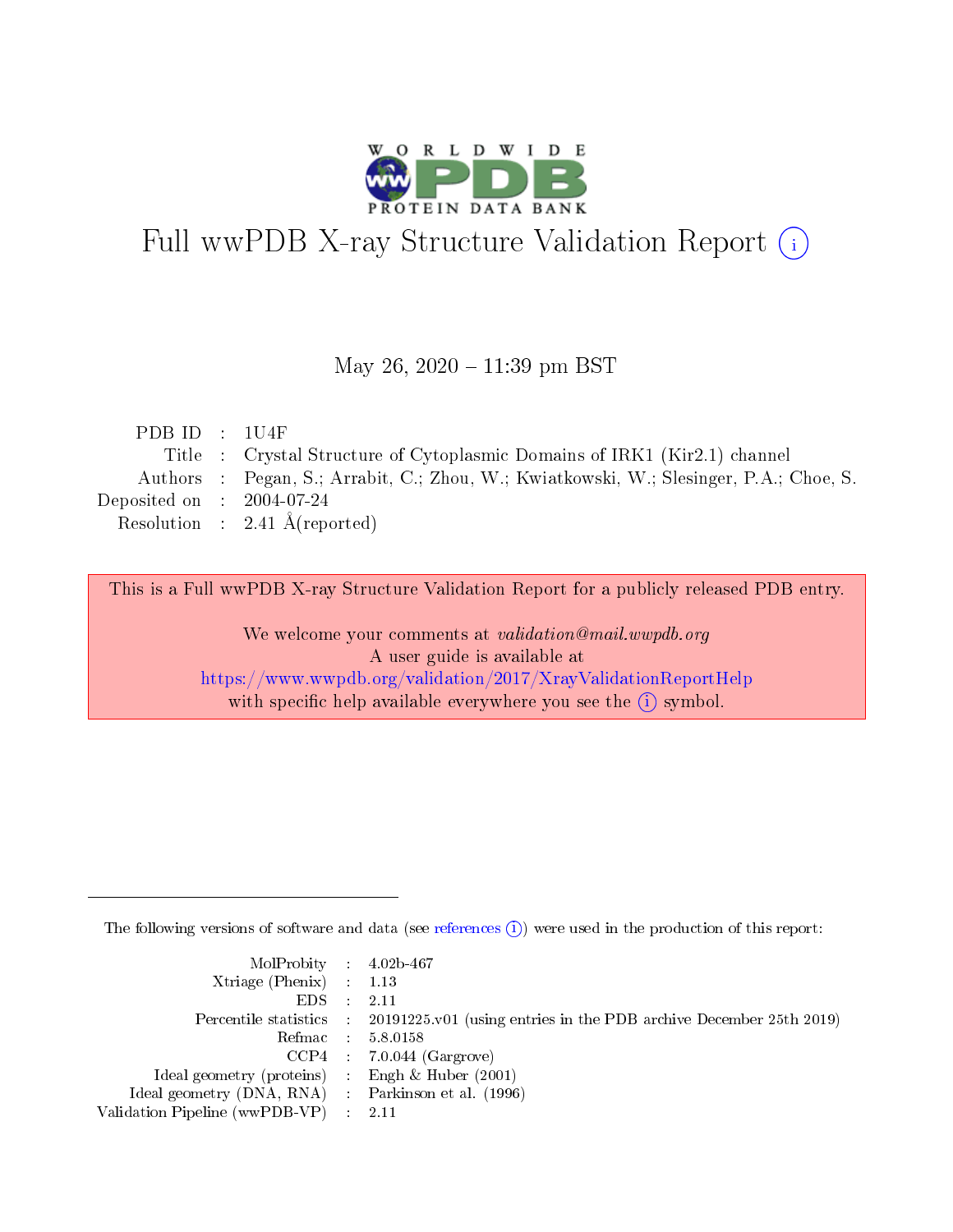

# Full wwPDB X-ray Structure Validation Report (i)

#### May 26,  $2020 - 11:39$  pm BST

| PDB ID : $1U4F$             |                                                                                        |
|-----------------------------|----------------------------------------------------------------------------------------|
|                             | Title : Crystal Structure of Cytoplasmic Domains of IRK1 (Kir2.1) channel              |
|                             | Authors : Pegan, S.; Arrabit, C.; Zhou, W.; Kwiatkowski, W.; Slesinger, P.A.; Choe, S. |
| Deposited on : $2004-07-24$ |                                                                                        |
|                             | Resolution : $2.41 \text{ Å}$ (reported)                                               |
|                             |                                                                                        |

This is a Full wwPDB X-ray Structure Validation Report for a publicly released PDB entry.

We welcome your comments at validation@mail.wwpdb.org A user guide is available at <https://www.wwpdb.org/validation/2017/XrayValidationReportHelp> with specific help available everywhere you see the  $(i)$  symbol.

The following versions of software and data (see [references](https://www.wwpdb.org/validation/2017/XrayValidationReportHelp#references)  $(i)$ ) were used in the production of this report:

| $MolProbability$ 4.02b-467                          |                                                                                            |
|-----------------------------------------------------|--------------------------------------------------------------------------------------------|
| Xtriage (Phenix) $: 1.13$                           |                                                                                            |
| $EDS$ :                                             | -2.11                                                                                      |
|                                                     | Percentile statistics : 20191225.v01 (using entries in the PDB archive December 25th 2019) |
|                                                     | Refmac : 5.8.0158                                                                          |
|                                                     | $CCP4$ : 7.0.044 (Gargrove)                                                                |
| Ideal geometry (proteins) : Engh $\&$ Huber (2001)  |                                                                                            |
| Ideal geometry (DNA, RNA) : Parkinson et al. (1996) |                                                                                            |
| Validation Pipeline (wwPDB-VP)                      | -2.11                                                                                      |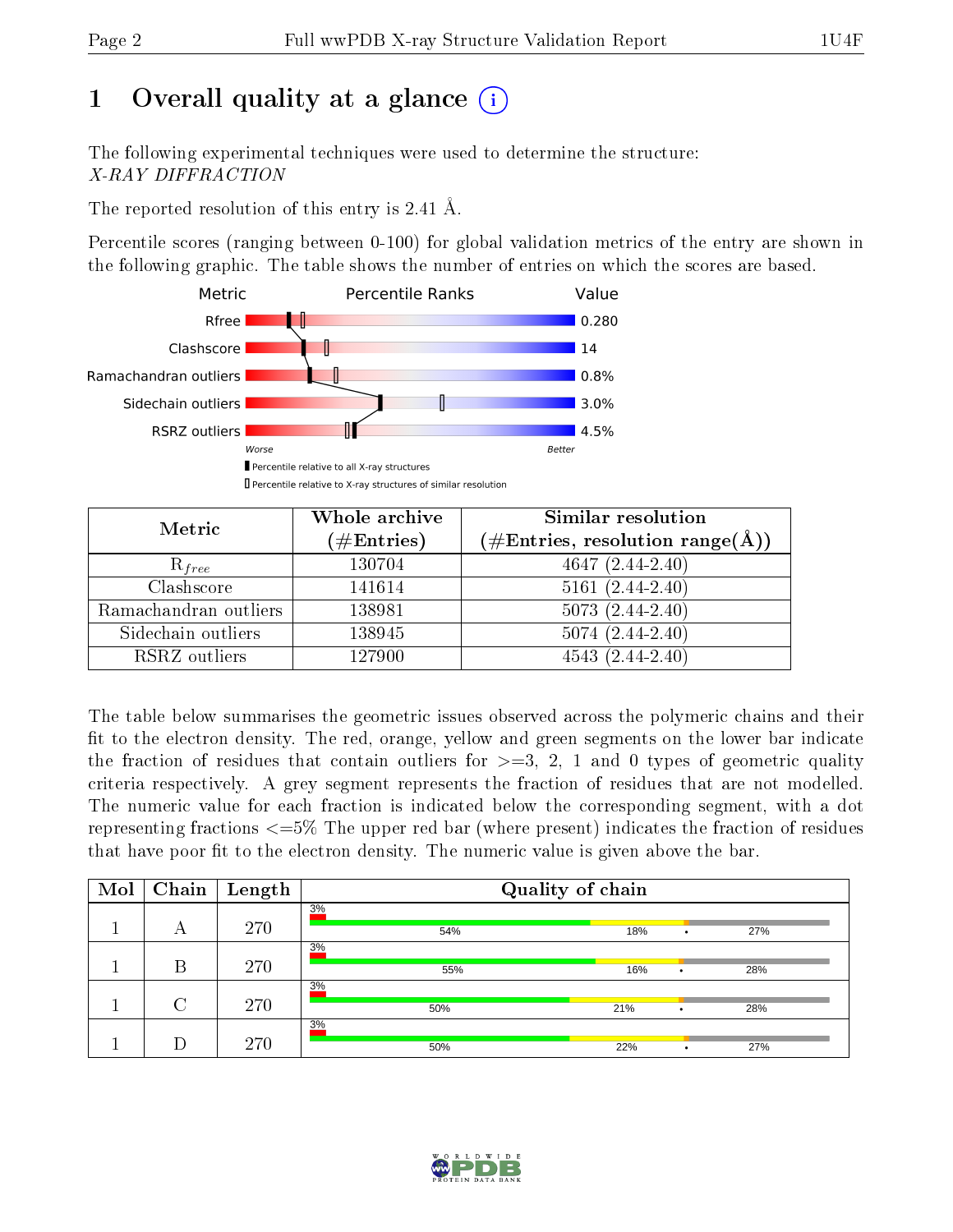# 1 [O](https://www.wwpdb.org/validation/2017/XrayValidationReportHelp#overall_quality)verall quality at a glance  $(i)$

The following experimental techniques were used to determine the structure: X-RAY DIFFRACTION

The reported resolution of this entry is 2.41 Å.

Percentile scores (ranging between 0-100) for global validation metrics of the entry are shown in the following graphic. The table shows the number of entries on which the scores are based.



| Metric                | Whole archive<br>$(\#\mathrm{Entries})$ | Similar resolution<br>$(\#\text{Entries},\,\text{resolution}\,\,\text{range}(\textup{\AA}))$ |
|-----------------------|-----------------------------------------|----------------------------------------------------------------------------------------------|
| $R_{free}$            | 130704                                  | $4647(2.44-2.40)$                                                                            |
| Clashscore            | 141614                                  | $5161(2.44-2.40)$                                                                            |
| Ramachandran outliers | 138981                                  | $5073(2.44-2.40)$                                                                            |
| Sidechain outliers    | 138945                                  | $5074(2.44-2.40)$                                                                            |
| RSRZ outliers         | 127900                                  | $4543(2.44-2.40)$                                                                            |

The table below summarises the geometric issues observed across the polymeric chains and their fit to the electron density. The red, orange, yellow and green segments on the lower bar indicate the fraction of residues that contain outliers for  $>=3, 2, 1$  and 0 types of geometric quality criteria respectively. A grey segment represents the fraction of residues that are not modelled. The numeric value for each fraction is indicated below the corresponding segment, with a dot representing fractions  $\epsilon=5\%$  The upper red bar (where present) indicates the fraction of residues that have poor fit to the electron density. The numeric value is given above the bar.

| Mol | Chain  | $\mathbf{Length}$ | Quality of chain |     |   |     |  |
|-----|--------|-------------------|------------------|-----|---|-----|--|
|     | А      | 270               | 3%<br>54%        | 18% |   | 27% |  |
|     | В      | 270               | 3%<br>55%        | 16% | ٠ | 28% |  |
|     | $\cap$ | 270               | 3%<br>50%        | 21% |   | 28% |  |
|     |        | 270               | 3%<br>50%        | 22% |   | 27% |  |

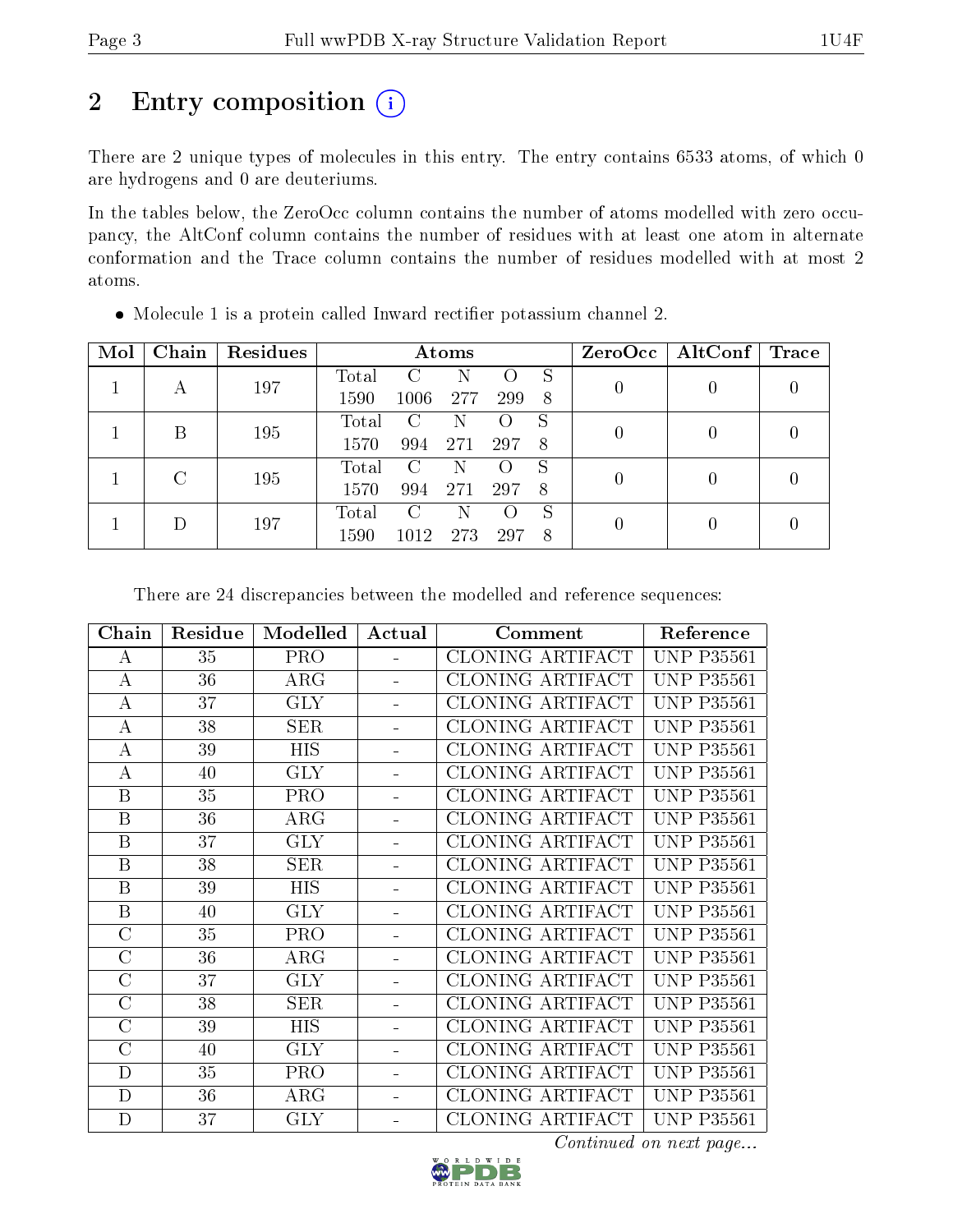# 2 Entry composition (i)

There are 2 unique types of molecules in this entry. The entry contains 6533 atoms, of which 0 are hydrogens and 0 are deuteriums.

In the tables below, the ZeroOcc column contains the number of atoms modelled with zero occupancy, the AltConf column contains the number of residues with at least one atom in alternate conformation and the Trace column contains the number of residues modelled with at most 2 atoms.

| Mol | Chain | Residues | Atoms |      |     |                    |    | ZeroOcc | $\mathbf{AltConf}$ | $\mid$ Trace |
|-----|-------|----------|-------|------|-----|--------------------|----|---------|--------------------|--------------|
|     | А     | 197      | Total |      |     |                    | S  |         |                    |              |
|     |       |          | 1590  | 1006 | 277 | 299                | -8 |         |                    |              |
|     | В     | 195      | Total | C    | N   |                    | S  |         |                    |              |
|     |       |          | 1570  | 994  | 271 | 297                | -8 |         |                    |              |
|     |       |          | Total | C    | N   | $\left( \ \right)$ | S  |         |                    |              |
| C   | 195   | 1570     | 994   | 271  | 297 | -8                 |    |         |                    |              |
|     |       |          | Total | C    |     |                    | S  |         |                    |              |
|     | 197   | 1590     | 1012  | 273  | 297 | 8                  |    |         |                    |              |

• Molecule 1 is a protein called Inward rectifier potassium channel 2.

There are 24 discrepancies between the modelled and reference sequences:

| Chain            | Residue | Modelled                | Actual | Comment                 | Reference         |
|------------------|---------|-------------------------|--------|-------------------------|-------------------|
| A                | 35      | <b>PRO</b>              |        | CLONING ARTIFACT        | <b>UNP P35561</b> |
| $\bf{A}$         | 36      | $\rm{ARG}$              | L,     | CLONING ARTIFACT        | <b>UNP P35561</b> |
| $\bf{A}$         | 37      | <b>GLY</b>              |        | <b>CLONING ARTIFACT</b> | <b>UNP P35561</b> |
| $\bf{A}$         | 38      | <b>SER</b>              |        | <b>CLONING ARTIFACT</b> | <b>UNP P35561</b> |
| $\bf{A}$         | 39      | <b>HIS</b>              |        | CLONING ARTIFACT        | <b>UNP P35561</b> |
| $\bf{A}$         | 40      | <b>GLY</b>              |        | <b>CLONING ARTIFACT</b> | <b>UNP P35561</b> |
| $\mathbf{B}$     | 35      | <b>PRO</b>              |        | CLONING ARTIFACT        | <b>UNP P35561</b> |
| $\boldsymbol{B}$ | 36      | $\rm{ARG}$              |        | CLONING ARTIFACT        | <b>UNP P35561</b> |
| $\boldsymbol{B}$ | 37      | <b>GLY</b>              |        | CLONING ARTIFACT        | <b>UNP P35561</b> |
| $\mathbf{B}$     | 38      | <b>SER</b>              |        | CLONING ARTIFACT        | <b>UNP P35561</b> |
| $\mathbf{B}$     | 39      | <b>HIS</b>              |        | CLONING ARTIFACT        | <b>UNP P35561</b> |
| $\mathbf{B}$     | 40      | <b>GLY</b>              |        | <b>CLONING ARTIFACT</b> | <b>UNP P35561</b> |
| $\mathcal{C}$    | 35      | <b>PRO</b>              | ÷      | CLONING ARTIFACT        | <b>UNP P35561</b> |
| $\mathcal{C}$    | 36      | $\rm{ARG}$              | ÷.     | CLONING ARTIFACT        | <b>UNP P35561</b> |
| $\overline{C}$   | 37      | <b>GLY</b>              |        | <b>CLONING ARTIFACT</b> | <b>UNP P35561</b> |
| $\mathcal{C}$    | 38      | <b>SER</b>              |        | <b>CLONING ARTIFACT</b> | <b>UNP P35561</b> |
| $\mathcal{C}$    | 39      | <b>HIS</b>              |        | CLONING ARTIFACT        | <b>UNP P35561</b> |
| $\mathcal{C}$    | 40      | $\overline{\text{GLY}}$ |        | CLONING ARTIFACT        | <b>UNP P35561</b> |
| D                | 35      | <b>PRO</b>              |        | CLONING ARTIFACT        | <b>UNP P35561</b> |
| D                | 36      | $\rm{ARG}$              | Ξ.     | CLONING ARTIFACT        | <b>UNP P35561</b> |
| D                | 37      | <b>GLY</b>              |        | CLONING ARTIFACT        | <b>UNP P35561</b> |

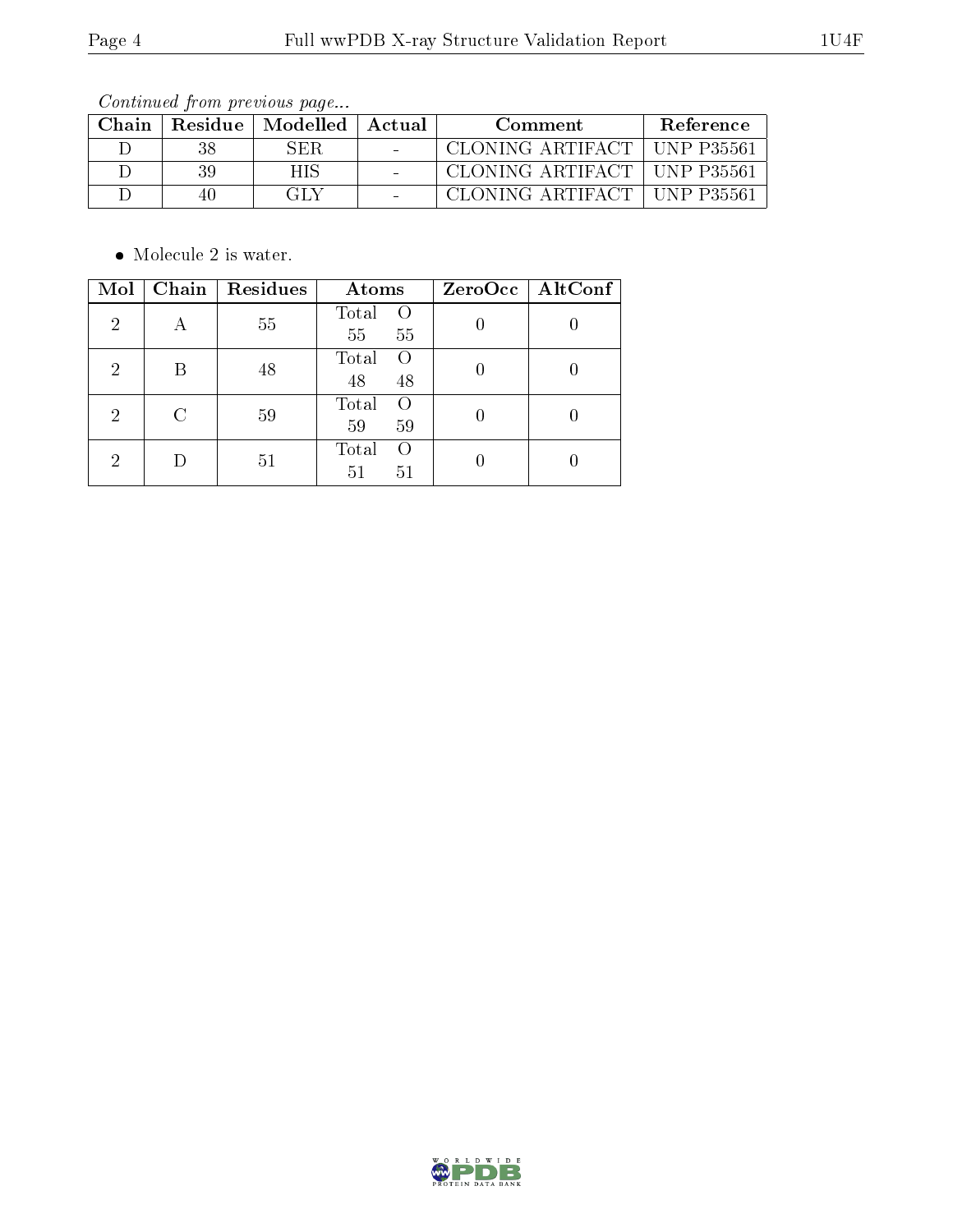Continued from previous page...

| Chain |    | Residue   Modelled | Actual | Comment          | <b>Reference</b> |
|-------|----|--------------------|--------|------------------|------------------|
|       |    | SER                |        | CLONING ARTIFACT | - UNP-P35561     |
|       |    | H IS               |        | CLONING ARTIFACT | + UNP P35561     |
|       | 40 | GEN                |        | CLONING ARTIFACT | . UNP P35561     |

 $\bullet\,$  Molecule 2 is water.

| Mol            | Chain | Residues | Atoms             | $ZeroOcc$   AltConf |
|----------------|-------|----------|-------------------|---------------------|
| $\overline{2}$ | А     | 55       | Total<br>O        |                     |
|                |       |          | 55<br>55          |                     |
| $\overline{2}$ | B     | 48       | Total<br>$\Omega$ |                     |
|                |       |          | 48<br>48          |                     |
| 2              |       | 59       | Total<br>$\Omega$ |                     |
|                |       |          | 59<br>59          |                     |
| 2              |       | 51       | Total<br>$\Omega$ |                     |
|                |       |          | 51<br>51          |                     |

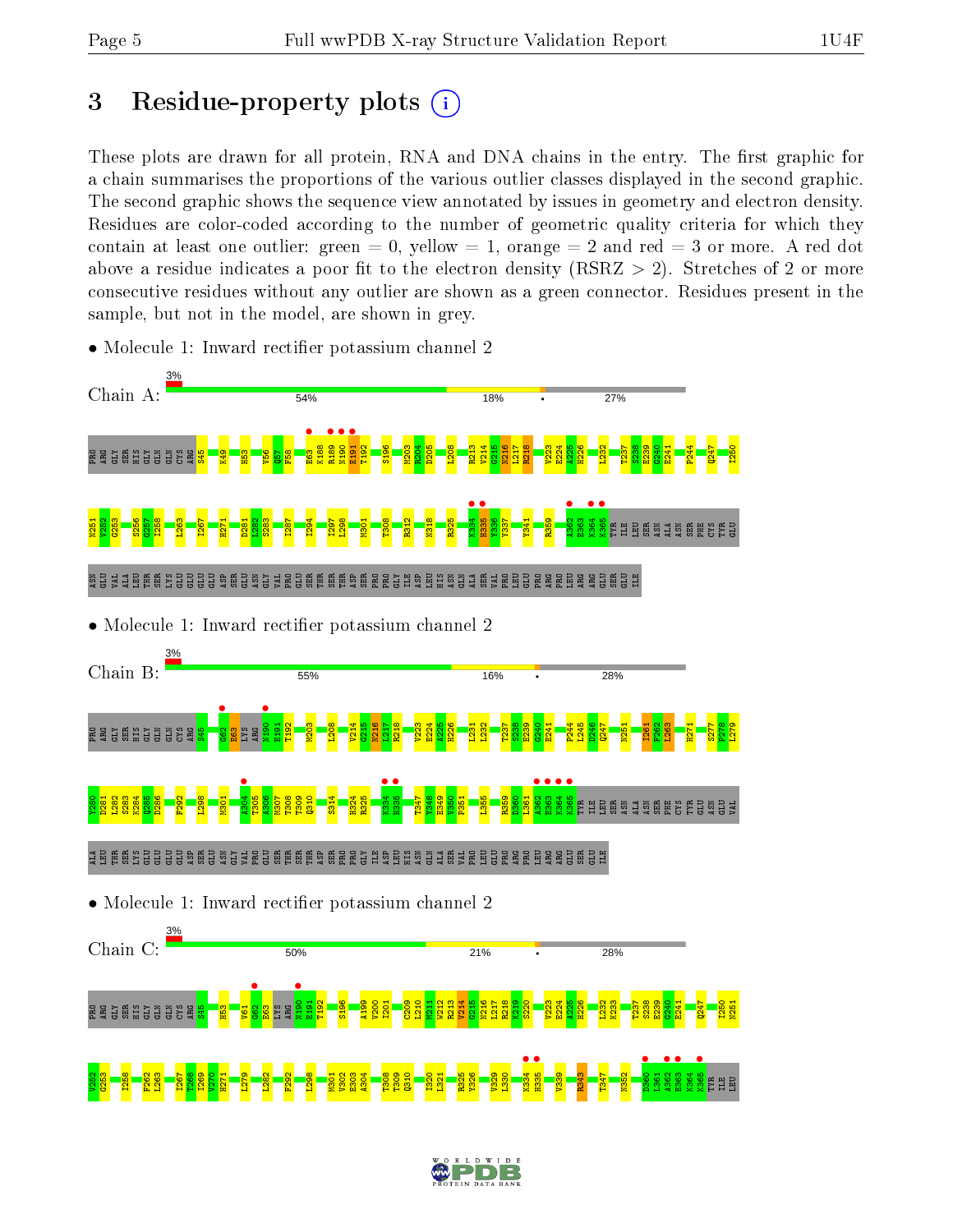# 3 Residue-property plots  $(i)$

These plots are drawn for all protein, RNA and DNA chains in the entry. The first graphic for a chain summarises the proportions of the various outlier classes displayed in the second graphic. The second graphic shows the sequence view annotated by issues in geometry and electron density. Residues are color-coded according to the number of geometric quality criteria for which they contain at least one outlier: green  $= 0$ , yellow  $= 1$ , orange  $= 2$  and red  $= 3$  or more. A red dot above a residue indicates a poor fit to the electron density (RSRZ  $> 2$ ). Stretches of 2 or more consecutive residues without any outlier are shown as a green connector. Residues present in the sample, but not in the model, are shown in grey.



• Molecule 1: Inward rectifier potassium channel 2

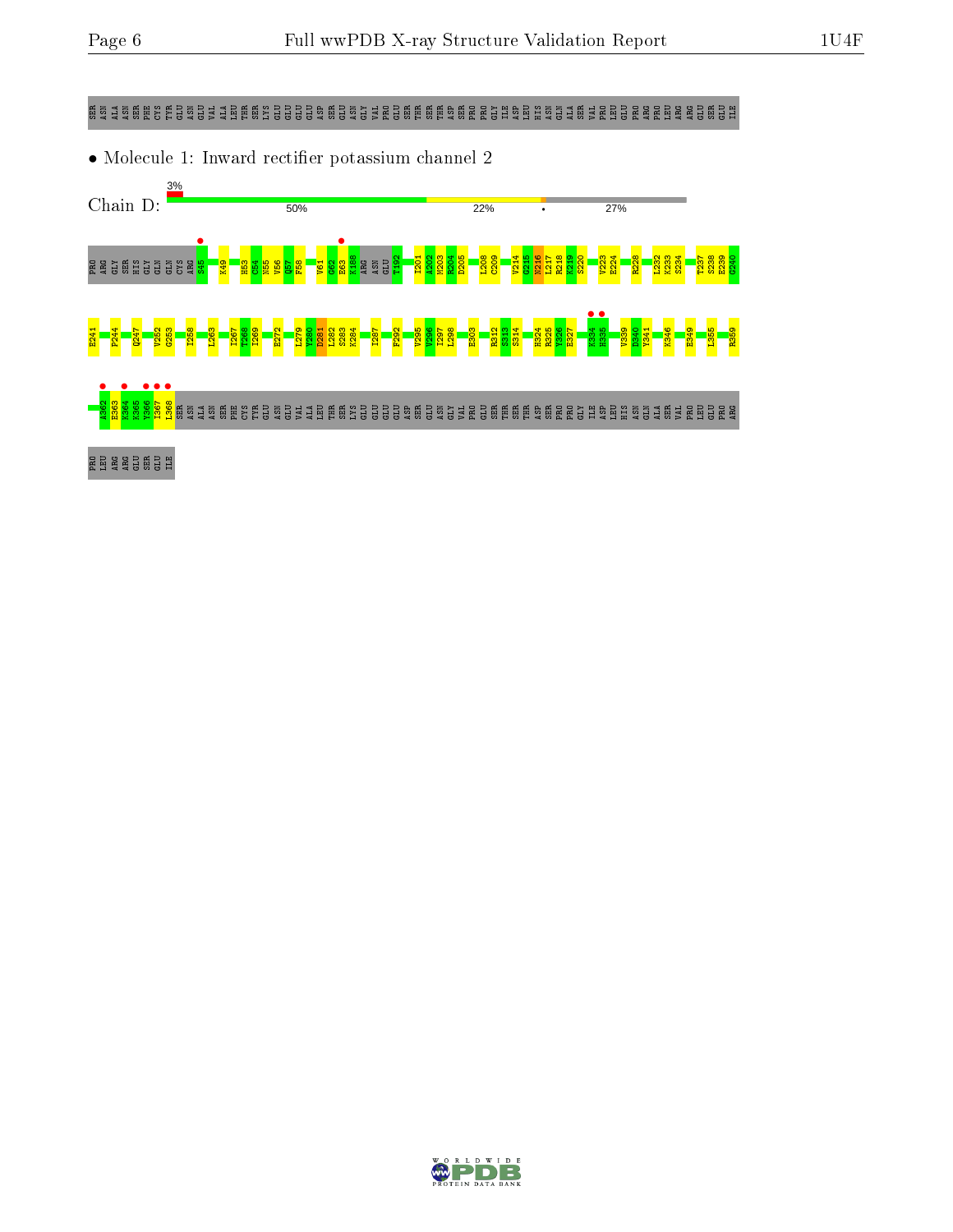#### SER ASN ALA ASN SER PHE CYS TYR GLU ASN GLU VAL ALA LEU THR SER LYS GLU GLU GLU GLU ASP SER GLU ASN GLY VAL PRO GLU SER THR SER THR ASP SER PRO PRO GLY ILE ASP LEU HIS ASN GLN ALA SER VAL PRO LEU GLU PRO ARG PRO LEU ARG ARG GLU SER GLU ILE

 $\bullet$  Molecule 1: Inward rectifier potassium channel  $2$ 



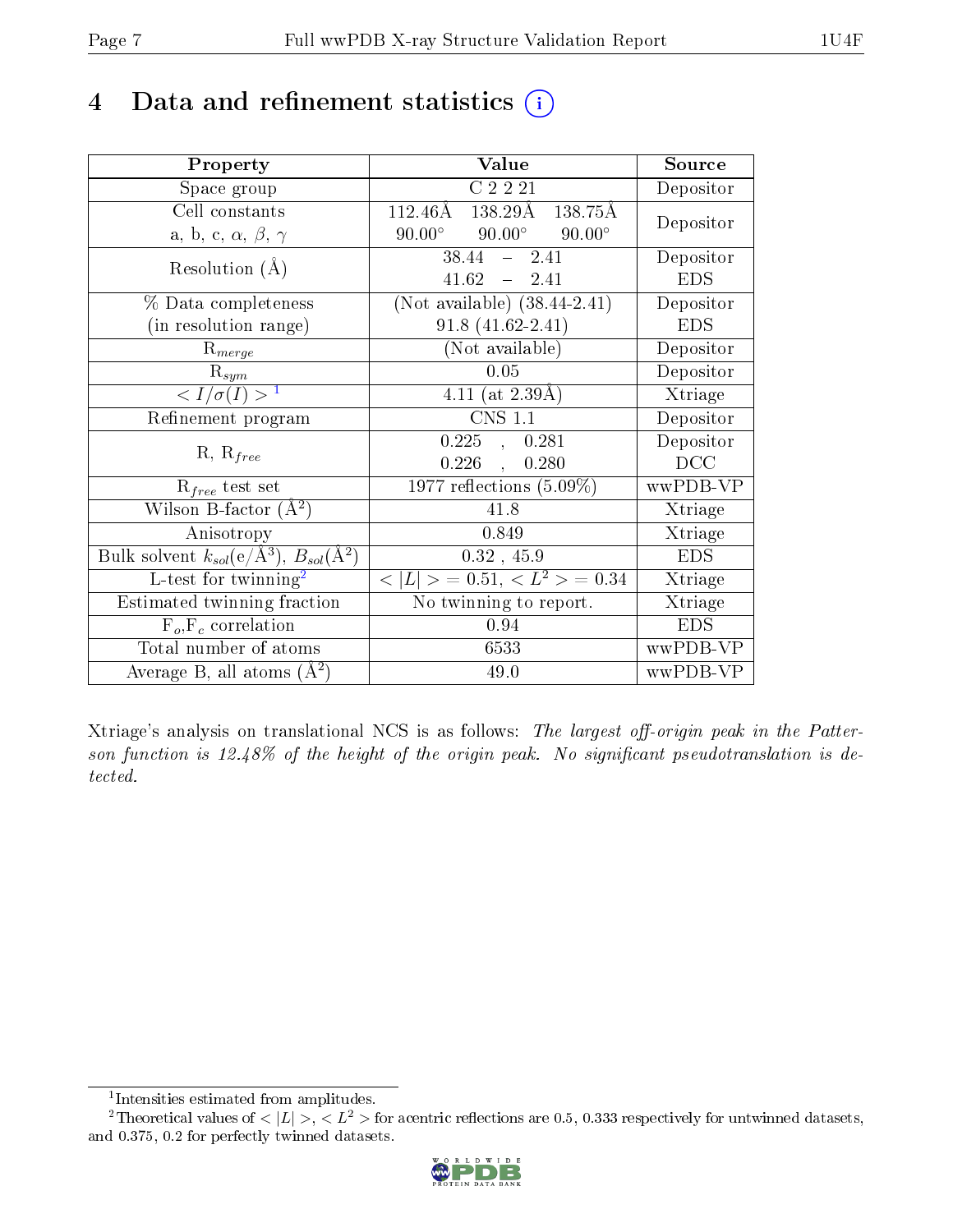# 4 Data and refinement statistics  $(i)$

| Property                                                                | Value                                               | Source     |
|-------------------------------------------------------------------------|-----------------------------------------------------|------------|
| Space group                                                             | C2221                                               | Depositor  |
| Cell constants                                                          | 112.46Å<br>138.29Å<br>138.75Å                       | Depositor  |
| a, b, c, $\alpha$ , $\beta$ , $\gamma$                                  | $90.00^{\circ}$<br>$90.00^{\circ}$<br>$90.00^\circ$ |            |
| Resolution $(A)$                                                        | $38.44 - 2.41$                                      | Depositor  |
|                                                                         | $41.62 = 2.41$                                      | <b>EDS</b> |
| % Data completeness                                                     | (Not available) $(38.44-2.41)$                      | Depositor  |
| (in resolution range)                                                   | $91.8(41.62-2.41)$                                  | <b>EDS</b> |
| $R_{merge}$                                                             | (Not available)                                     | Depositor  |
| $\mathrm{R}_{sym}$                                                      | 0.05                                                | Depositor  |
| $\langle I/\sigma(I) \rangle^{-1}$                                      | 4.11 (at $2.39\text{\AA})$                          | Xtriage    |
| Refinement program                                                      | <b>CNS 1.1</b>                                      | Depositor  |
|                                                                         | $0.225\quad ,\quad 0.281$                           | Depositor  |
| $R, R_{free}$                                                           | $0.226$ ,<br>0.280                                  | DCC        |
| $\mathcal{R}_{free}$ test set                                           | $1977$ reflections $(5.09\%)$                       | wwPDB-VP   |
| Wilson B-factor $(A^2)$                                                 | 41.8                                                | Xtriage    |
| Anisotropy                                                              | 0.849                                               | Xtriage    |
| Bulk solvent $k_{sol}(\mathrm{e}/\mathrm{A}^3),\,B_{sol}(\mathrm{A}^2)$ | $0.32$ , 45.9                                       | <b>EDS</b> |
| L-test for twinning <sup>2</sup>                                        | $< L >$ = 0.51, $< L2$ > = 0.34                     | Xtriage    |
| Estimated twinning fraction                                             | No twinning to report.                              | Xtriage    |
| $F_o, F_c$ correlation                                                  | 0.94                                                | <b>EDS</b> |
| Total number of atoms                                                   | 6533                                                | wwPDB-VP   |
| Average B, all atoms $(A^2)$                                            | 49.0                                                | wwPDB-VP   |

Xtriage's analysis on translational NCS is as follows: The largest off-origin peak in the Patterson function is  $12.48\%$  of the height of the origin peak. No significant pseudotranslation is detected.

<sup>&</sup>lt;sup>2</sup>Theoretical values of  $\langle |L| \rangle$ ,  $\langle L^2 \rangle$  for acentric reflections are 0.5, 0.333 respectively for untwinned datasets, and 0.375, 0.2 for perfectly twinned datasets.



<span id="page-6-1"></span><span id="page-6-0"></span><sup>1</sup> Intensities estimated from amplitudes.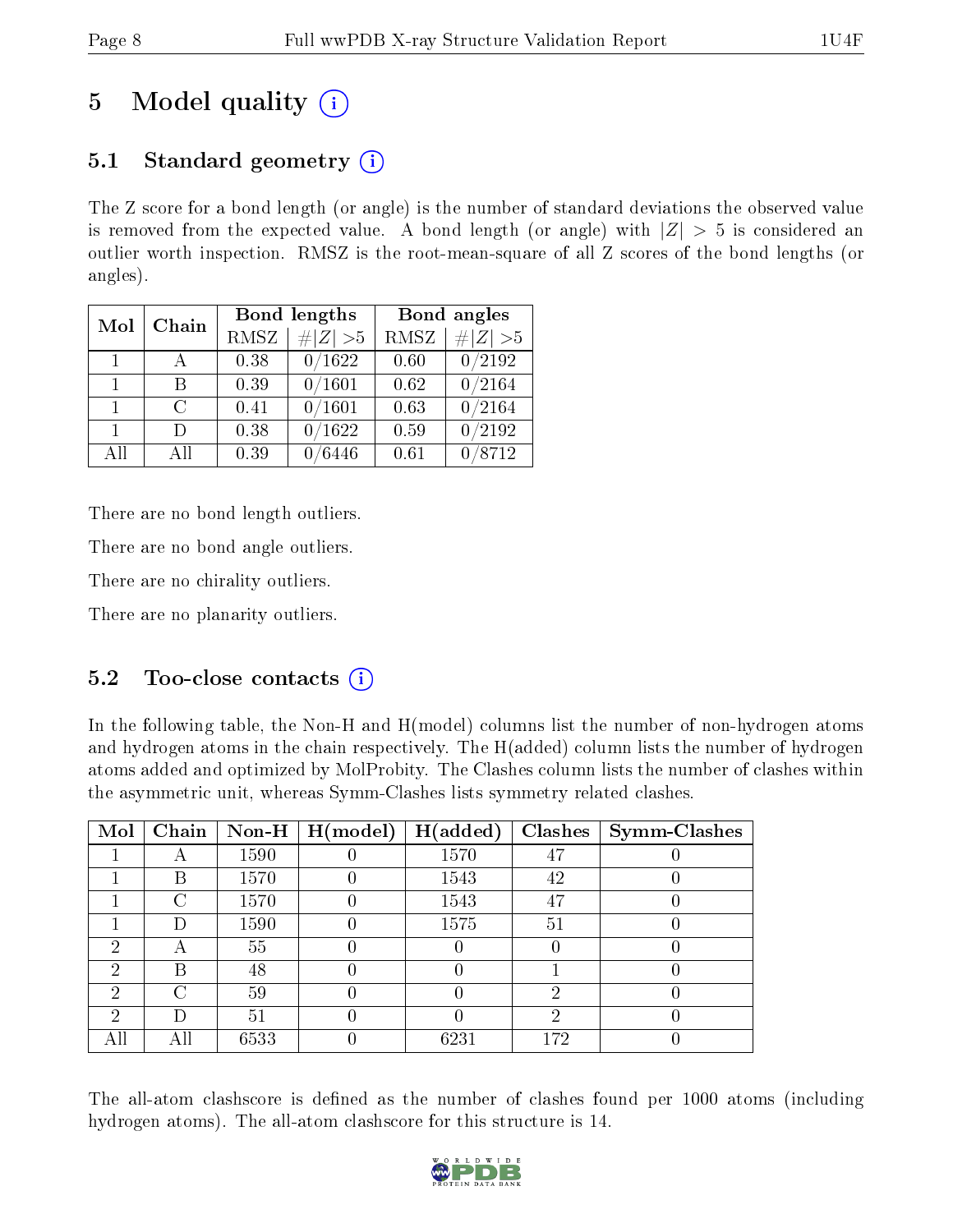# 5 Model quality  $(i)$

# 5.1 Standard geometry  $(i)$

The Z score for a bond length (or angle) is the number of standard deviations the observed value is removed from the expected value. A bond length (or angle) with  $|Z| > 5$  is considered an outlier worth inspection. RMSZ is the root-mean-square of all Z scores of the bond lengths (or angles).

| Mol            | Chain  |      | Bond lengths | Bond angles |             |
|----------------|--------|------|--------------|-------------|-------------|
|                |        | RMSZ | $\# Z  > 5$  | <b>RMSZ</b> | $\ Z\  > 5$ |
| $\overline{1}$ |        | 0.38 | 0/1622       | 0.60        | 0/2192      |
| 1              | R      | 0.39 | /1601        | 0.62        | 0/2164      |
| $\mathbf{1}$   | $\cap$ | 0.41 | 0/1601       | 0.63        | 0/2164      |
| $\mathbf{1}$   | $\Box$ | 0.38 | /1622        | 0.59        | /2192       |
| AH             | АH     | 0.39 | 6446         | 0.61        | 8712        |

There are no bond length outliers.

There are no bond angle outliers.

There are no chirality outliers.

There are no planarity outliers.

### 5.2 Too-close contacts  $\overline{()}$

In the following table, the Non-H and H(model) columns list the number of non-hydrogen atoms and hydrogen atoms in the chain respectively. The H(added) column lists the number of hydrogen atoms added and optimized by MolProbity. The Clashes column lists the number of clashes within the asymmetric unit, whereas Symm-Clashes lists symmetry related clashes.

| Mol |               |      | Chain   Non-H $\mid$ H(model) | H(added) | Clashes | Symm-Clashes |
|-----|---------------|------|-------------------------------|----------|---------|--------------|
|     |               | 1590 |                               | 1570     | 47      |              |
|     | B             | 1570 |                               | 1543     | 42      |              |
|     | $\mathcal{C}$ | 1570 |                               | 1543     | 47      |              |
|     | Ð             | 1590 |                               | 1575     | 51      |              |
| 2   | А             | 55   |                               |          |         |              |
| 2   | В             | 48   |                               |          |         |              |
| 2   | $\cap$        | 59   |                               |          | റ       |              |
| 2   | D             | 51   |                               |          | റ       |              |
| All | Αll           | 6533 |                               | 6231     | 172     |              |

The all-atom clashscore is defined as the number of clashes found per 1000 atoms (including hydrogen atoms). The all-atom clashscore for this structure is 14.

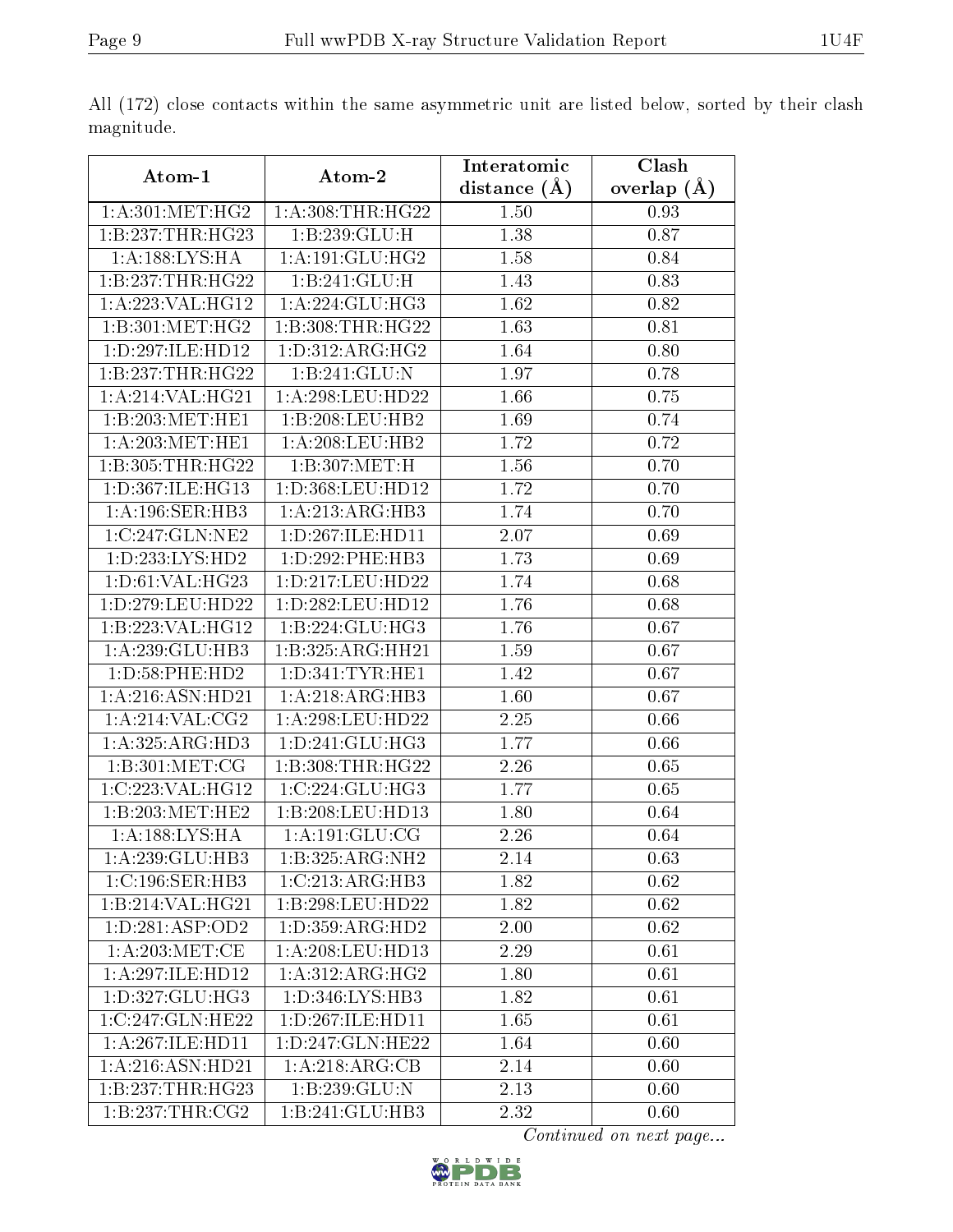|                      |                                   | Interatomic    | Clash           |
|----------------------|-----------------------------------|----------------|-----------------|
| Atom-1               | Atom-2                            | distance $(A)$ | overlap $(\AA)$ |
| 1: A:301:MET:HG2     | 1: A:308:THR:HG22                 | 1.50           | 0.93            |
| 1:B:237:THR:HG23     | 1:B:239:GLU:H                     | 1.38           | 0.87            |
| 1:A:188:LYS:HA       | 1: A:191: GLU: HG2                | 1.58           | 0.84            |
| 1:B:237:THR:HG22     | $1:B:241:\overline{\text{GLU:H}}$ | 1.43           | 0.83            |
| 1: A: 223: VAL: HG12 | 1: A:224: GLU:HG3                 | 1.62           | 0.82            |
| 1:B:301:MET:HG2      | 1:B:308:THR:HG22                  | 1.63           | 0.81            |
| 1:D:297:ILE:HD12     | 1: D: 312: ARG: HG2               | 1.64           | 0.80            |
| 1:B:237:THR:HG22     | $1:B:241:GLU:\overline{N}$        | 1.97           | 0.78            |
| 1: A:214: VAL:HG21   | 1:A:298:LEU:HD22                  | 1.66           | 0.75            |
| 1:B:203:MET:HE1      | 1:B:208:LEU:HB2                   | 1.69           | 0.74            |
| 1: A:203:MET:HE1     | 1: A:208:LEU:HB2                  | 1.72           | 0.72            |
| 1:B:305:THR:HG22     | 1:B:307:MET:H                     | 1.56           | 0.70            |
| 1:D:367:ILE:HG13     | 1:D:368:LEU:HD12                  | 1.72           | 0.70            |
| 1:A:196:SER:HB3      | 1:A:213:ARG:HB3                   | 1.74           | 0.70            |
| 1:C:247:GLN:NE2      | 1:D:267:ILE:HD11                  | 2.07           | 0.69            |
| 1:D:233:LYS:HD2      | 1:D:292:PHE:HB3                   | 1.73           | 0.69            |
| 1: D:61: VAL: HG23   | 1:D:217:LEU:HD22                  | 1.74           | 0.68            |
| 1:D:279:LEU:HD22     | 1:D:282:LEU:HD12                  | 1.76           | 0.68            |
| 1:B:223:VAL:HG12     | 1:B:224:GLU:HG3                   | 1.76           | 0.67            |
| 1:A:239:GLU:HB3      | 1:B:325:ARG:HH21                  | 1.59           | 0.67            |
| 1: D: 58: PHE: HD2   | 1: D: 341: TYR: HE1               | 1.42           | 0.67            |
| 1:A:216:ASN:HD21     | 1:A:218:ARG:HB3                   | 1.60           | 0.67            |
| 1: A:214: VAL: CG2   | 1:A:298:LEU:HD22                  | 2.25           | 0.66            |
| 1:A:325:ARG:HD3      | 1: D:241: GLU:HG3                 | 1.77           | 0.66            |
| 1:B:301:MET:CG       | 1:B:308:THR:HG22                  | 2.26           | 0.65            |
| 1:C:223:VAL:HG12     | 1:C:224:GLU:HG3                   | 1.77           | 0.65            |
| 1:B:203:MET:HE2      | 1:B:208:LEU:HD13                  | 1.80           | 0.64            |
| 1:A:188:LYS:HA       | 1: A:191: GLU:CG                  | 2.26           | 0.64            |
| 1:A:239:GLU:HB3      | 1:B:325:ARG:NH2                   | 2.14           | 0.63            |
| 1: C: 196: SER: HB3  | 1:C:213:ARG:HB3                   | 1.82           | 0.62            |
| 1:B:214:VAL:HG21     | 1:B:298:LEU:HD22                  | 1.82           | 0.62            |
| 1: D: 281: ASP: OD2  | 1: D: 359: ARG: HD2               | 2.00           | 0.62            |
| 1: A:203:MET:CE      | 1:A:208:LEU:HD13                  | 2.29           | 0.61            |
| 1:A:297:ILE:HD12     | 1: A:312: ARG: HG2                | 1.80           | 0.61            |
| 1:D:327:GLU:HG3      | 1:D:346:LYS:HB3                   | 1.82           | 0.61            |
| 1:C:247:GLN:HE22     | 1:D:267:ILE:HD11                  | 1.65           | 0.61            |
| 1:A:267:ILE:HD11     | 1:D:247:GLN:HE22                  | 1.64           | 0.60            |
| 1:A:216:ASN:HD21     | 1:A:218:ARG:CB                    | 2.14           | 0.60            |
| 1:B:237:THR:HG23     | 1:B:239:GLU:N                     | 2.13           | 0.60            |
| 1:B:237:THR:CG2      | 1:B:241:GLU:HB3                   | 2.32           | 0.60            |

All (172) close contacts within the same asymmetric unit are listed below, sorted by their clash magnitude.

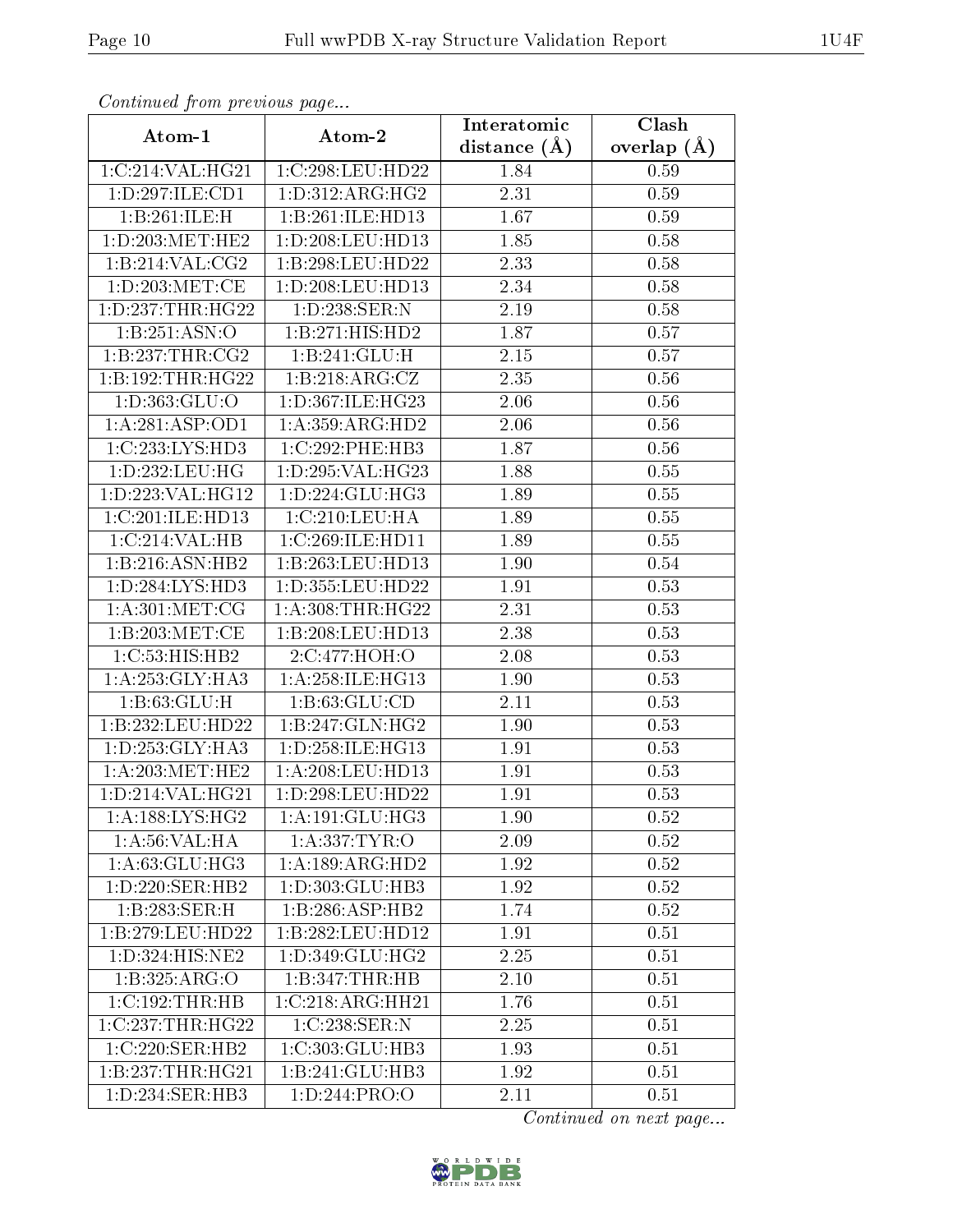| Continuea from previous page |                      | Interatomic       | Clash           |
|------------------------------|----------------------|-------------------|-----------------|
| Atom-1                       | Atom-2               | distance $(A)$    | overlap $(\AA)$ |
| 1:C:214:VAL:HG21             | 1:C:298:LEU:HD22     | 1.84              | 0.59            |
| 1:D:297:ILE:CD1              | 1: D: 312: ARG: HG2  | $\overline{2.31}$ | 0.59            |
| 1:B:261:ILE:H                | 1:B:261:ILE:HD13     | 1.67              | 0.59            |
| 1: D: 203:MET:HE2            | 1:D:208:LEU:HD13     | 1.85              | 0.58            |
| 1:B:214:VAL:CG2              | 1:B:298:LEU:HD22     | 2.33              | 0.58            |
| 1:D:203:MET:CE               | 1:D:208:LEU:HD13     | 2.34              | 0.58            |
| 1:D:237:THR:HG22             | 1:D:238:SER:N        | 2.19              | 0.58            |
| 1:B:251:ASN:O                | 1:B:271:HIS:HD2      | 1.87              | 0.57            |
| 1: B: 237: THR: CG2          | 1:B:241:GLU:H        | 2.15              | 0.57            |
| 1:B:192:THR:HG22             | 1: B:218: ARG: CZ    | 2.35              | 0.56            |
| 1: D: 363: GLU: O            | 1: D: 367: ILE: HG23 | 2.06              | 0.56            |
| 1:A:281:ASP:OD1              | 1: A:359: ARG:HD2    | 2.06              | 0.56            |
| 1:C:233:LYS:HD3              | 1:C:292:PHE:HB3      | 1.87              | 0.56            |
| 1:D:232:LEU:HG               | 1:D:295:VAL:HG23     | 1.88              | 0.55            |
| 1:D:223:VAL:HG12             | 1: D: 224: GLU: HG3  | 1.89              | 0.55            |
| 1:C:201:ILE:HD13             | 1:C:210:LEU:HA       | 1.89              | 0.55            |
| 1:C:214:VAL:HB               | 1:C:269:ILE:HD11     | 1.89              | $0.55\,$        |
| 1:B:216:ASN:HB2              | 1:B:263:LEU:HD13     | 1.90              | 0.54            |
| $1:D:28\overline{4:LYS:HD3}$ | 1:D:355:LEU:HD22     | 1.91              | 0.53            |
| 1: A:301: MET:CG             | 1: A:308:THR:HG22    | 2.31              | 0.53            |
| 1:B:203:MET:CE               | 1:B:208:LEU:HD13     | 2.38              | 0.53            |
| 1:C:53:HIS:HB2               | 2:C:477:HOH:O        | 2.08              | 0.53            |
| 1: A: 253: GLY: HA3          | 1: A:258: ILE: HG13  | 1.90              | 0.53            |
| 1: B:63: GLU: H              | 1: B:63: GLU:CD      | 2.11              | 0.53            |
| 1:B:232:LEU:HD22             | 1:B:247:GLN:HG2      | 1.90              | 0.53            |
| 1: D: 253: GLY: HA3          | 1: D: 258: ILE: HG13 | 1.91              | 0.53            |
| 1: A:203:MET:HE2             | 1:A:208:LEU:HD13     | 1.91              | 0.53            |
| 1:D:214:VAL:HG21             | 1:D:298:LEU:HD22     | 1.91              | 0.53            |
| 1: A: 188: LYS: HG2          | 1: A:191: GLU:HG3    | 1.90              | 0.52            |
| 1: A:56: VAL:HA              | 1: A: 337: TYR: O    | 2.09              | 0.52            |
| 1: A:63: GLU:HG3             | 1:A:189:ARG:HD2      | 1.92              | 0.52            |
| 1: D: 220: SER: HB2          | 1:D:303:GLU:HB3      | 1.92              | 0.52            |
| 1:B:283:SER:H                | 1:B:286:ASP:HB2      | 1.74              | 0.52            |
| 1:B:279:LEU:HD22             | 1:B:282:LEU:HD12     | 1.91              | 0.51            |
| 1: D: 324: HIS: NE2          | 1: D: 349: GLU: HG2  | 2.25              | 0.51            |
| 1:B:325:ARG:O                | 1:B:347:THR:HB       | 2.10              | 0.51            |
| 1:C:192:THR:HB               | 1:C:218:ARG:HH21     | 1.76              | 0.51            |
| 1:C:237:THR:HG22             | 1:C:238:SER:N        | 2.25              | 0.51            |
| 1:C:220:SER:HB2              | 1:C:303:GLU:HB3      | 1.93              | 0.51            |
| 1:B:237:THR:HG21             | 1:B:241:GLU:HB3      | 1.92              | 0.51            |
| 1: D: 234: SER: HB3          | 1:D:244:PRO:O        | 2.11              | 0.51            |

Continued from previous page.

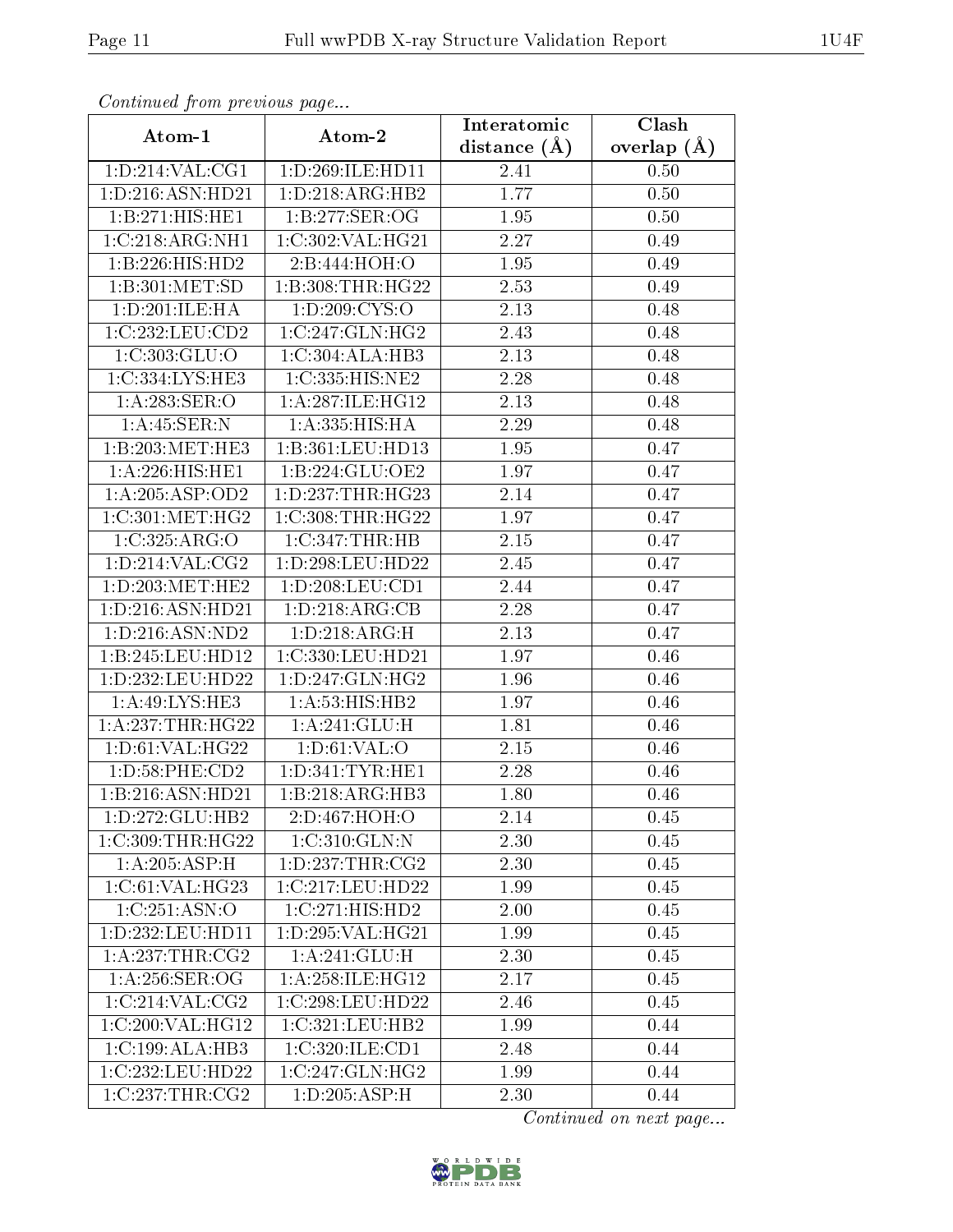| Continued from previous page |                              | Interatomic       | $\overline{\text{Clash}}$ |
|------------------------------|------------------------------|-------------------|---------------------------|
| Atom-1                       | Atom-2                       | distance $(A)$    | overlap $(A)$             |
| 1: D: 214: VAL: CG1          | 1:D:269:ILE:HD11             | 2.41              | 0.50                      |
| 1:D:216:ASN:HD21             | 1: D: 218: ARG: HB2          | 1.77              | 0.50                      |
| 1:B:271:HIS:HED1             | 1: B: 277: SER: OG           | 1.95              | 0.50                      |
| 1:C:218:ARG:NH1              | 1:C:302:VAL:HG21             | 2.27              | 0.49                      |
| 1:B:226:HIS:HD2              | 2:B:444:HOH:O                | 1.95              | 0.49                      |
| 1:B:301:MET:SD               | 1:B:308:THR:HG22             | 2.53              | 0.49                      |
| 1:D:201:ILE:HA               | 1: D: 209: CYS:O             | 2.13              | 0.48                      |
| 1:C:232:LEU:CD2              | 1:C:247:GLN:HG2              | 2.43              | 0.48                      |
| 1:C:303:GLU:O                | 1:C:304:ALA:HB3              | <b>2.13</b>       | 0.48                      |
| 1:C:334:LYS:HE3              | 1:C:335:HIS:NE2              | 2.28              | 0.48                      |
| 1:A:283:SER:O                | 1: A:287: ILE: HG12          | 2.13              | 0.48                      |
| 1: A:45:SER:N                | 1: A:335: HIS: HA            | 2.29              | 0.48                      |
| 1:B:203:MET:HE3              | 1:B:361:LEU:HD13             | 1.95              | 0.47                      |
| 1:A:226:HIS:HE1              | 1:B:224:GLU:OE2              | 1.97              | 0.47                      |
| 1:A:205:ASP:OD2              | 1: D: 237: THR: HG23         | 2.14              | 0.47                      |
| 1:C:301:MET:HG2              | 1:C:308:THR:HG22             | 1.97              | 0.47                      |
| 1:C:325:ARG:O                | $1:C:347$ : THR: HB          | 2.15              | 0.47                      |
| 1: D: 214: VAL: CG2          | 1:D:298:LEU:HD22             | 2.45              | 0.47                      |
| 1: D: 203:MET:HE2            | 1:D:208:LEU:CD1              | $\overline{2}.44$ | 0.47                      |
| 1:D:216:ASN:HD21             | 1: D: 218: ARG: CB           | 2.28              | 0.47                      |
| 1: D: 216: ASN: ND2          | 1: D: 218: ARG:H             | 2.13              | 0.47                      |
| 1:B:245:LEU:HD12             | 1:C:330:LEU:HD21             | 1.97              | 0.46                      |
| 1:D:232:LEU:HD22             | 1: D: 247: GLN: HG2          | 1.96              | 0.46                      |
| 1: A:49: LYS: HE3            | 1:A:53:HIS:HB2               | 1.97              | 0.46                      |
| 1:A:237:THR:HG22             | 1: A:241: GLU: H             | 1.81              | 0.46                      |
| 1: D:61: VAL:HG22            | 1: D:61: VAL:O               | $2.15\,$          | 0.46                      |
| 1:D:58:PHE:CD2               | 1: D:341: TYR: HE1           | 2.28              | 0.46                      |
| 1:B:216:ASN:HD21             | $1:B:218:AR\overline{G:HB3}$ | 1.80              | 0.46                      |
| $1:D:272:GL\overline{U:HB2}$ | 2:D:467:HOH:O                | 2.14              | 0.45                      |
| 1:C:309:THR:HG22             | 1:C:310:GLN:N                | 2.30              | 0.45                      |
| 1: A:205: ASP:H              | 1: D: 237: THR: CG2          | 2.30              | 0.45                      |
| 1:C:61:VAL:HG23              | 1:C:217:LEU:HD22             | 1.99              | 0.45                      |
| 1:C:251:ASN:O                | 1:C:271:HIS:HD2              | 2.00              | 0.45                      |
| 1:D:232:LEU:HD11             | 1:D:295:VAL:HG21             | 1.99              | $0.45\,$                  |
| 1: A:237:THR:CG2             | 1:A:241:GLU:H                | 2.30              | 0.45                      |
| 1: A:256: <i>SER:OG</i>      | 1: A:258: ILE: HG12          | 2.17              | 0.45                      |
| 1:C:214:VAL:CG2              | 1:C:298:LEU:HD22             | 2.46              | 0.45                      |
| 1:C:200:VAL:HG12             | 1:C:321:LEU:HB2              | 1.99              | 0.44                      |
| 1:C:199:ALA:HB3              | 1:C:320:ILE:CD1              | 2.48              | 0.44                      |
| 1:C:232:LEU:HD22             | 1:C:247:GLN:HG2              | 1.99              | 0.44                      |
| 1:C:237:THR:CG2              | 1: D: 205: ASP:H             | 2.30              | 0.44                      |

Continued from previous page.

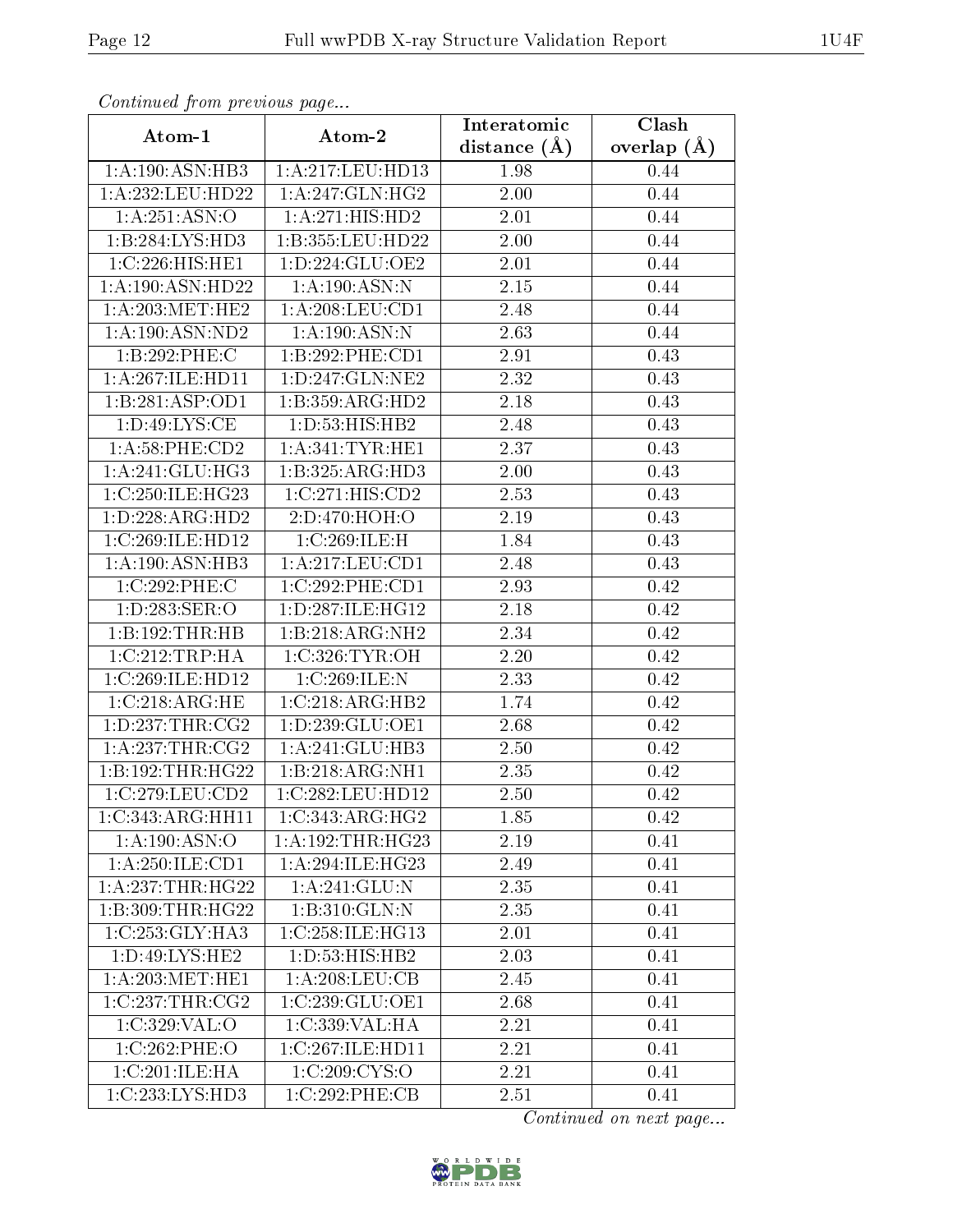| Communa from previous page   |                              | Interatomic       | Clash           |
|------------------------------|------------------------------|-------------------|-----------------|
| Atom-1                       | Atom-2                       | distance $(A)$    | overlap $(\AA)$ |
| 1: A: 190: ASN: HB3          | 1:A:217:LEU:HD13             | 1.98              | 0.44            |
| 1:A:232:LEU:HD22             | 1: A:247: GLN: HG2           | $2.00\,$          | 0.44            |
| 1:A:251:ASN:O                | 1: A:271: HIS: HD2           | $2.01\,$          | 0.44            |
| 1:B:284:LYS:HD3              | 1:B:355:LEU:HD22             | $2.00\,$          | 0.44            |
| 1:C:226:HIS:HE1              | 1: D: 224: GLU: OE2          | $2.01\,$          | 0.44            |
| 1: A: 190: ASN: HD22         | 1: A: 190: ASN: N            | $2.15\,$          | 0.44            |
| 1: A:203:MET:HE2             | 1: A:208:LEU:CD1             | 2.48              | 0.44            |
| 1:A:190:ASN:ND2              | 1: A: 190: ASN: N            | 2.63              | 0.44            |
| 1:B:292:PHE:C                | 1:B:292:PHE:CD1              | 2.91              | 0.43            |
| 1:A:267:ILE:HD11             | 1:D:247:GLN:NE2              | 2.32              | 0.43            |
| 1:B:281:ASP:OD1              | 1:B:359:ARG:HD2              | 2.18              | 0.43            |
| 1: D: 49: LYS: CE            | 1: D: 53: HIS: HB2           | 2.48              | 0.43            |
| $1: A:58:$ PHE: $CD2$        | 1: A:341:TYR:HE1             | 2.37              | 0.43            |
| 1: A:241: GLU:HG3            | 1:B:325:ARG:HD3              | 2.00              | 0.43            |
| 1:C:250:ILE:HG23             | 1:C:271:HIS:CD2              | 2.53              | 0.43            |
| 1: D: 228: ARG: HD2          | 2: D: 470: HOH: O            | 2.19              | 0.43            |
| 1:C:269:ILE:HD12             | 1:C:269:ILE:H                | 1.84              | 0.43            |
| 1: A: 190: ASN: HB3          | 1:A:217:LEU:CD1              | 2.48              | 0.43            |
| 1:C:292:PHE:C                | 1:C:292:PHE:CD1              | 2.93              | 0.42            |
| 1: D: 283: SER: O            | 1: D: 287: ILE: HG12         | 2.18              | 0.42            |
| 1:B:192:THR:HB               | 1:B:218:ARG:NH2              | $\overline{2.34}$ | 0.42            |
| 1:C:212:TRP:HA               | 1:C:326:TYR:OH               | 2.20              | 0.42            |
| 1:C:269:ILE:HD12             | 1:C:269:ILE:N                | 2.33              | 0.42            |
| 1:C:218:ARG:HE               | 1:C:218:ARG:HB2              | 1.74              | 0.42            |
| 1: D: 237: THR: CG2          | 1: D: 239: GLU: OE1          | 2.68              | 0.42            |
| 1:A:237:THR:CG2              | 1:A:241:GLU:HB3              | 2.50              | 0.42            |
| 1:B:192:THR:HG22             | 1:B:218:ARG:NH1              | 2.35              | 0.42            |
| $1:C:\overline{279:LEU:CD2}$ | 1:C:282:LEU:HD12             | 2.50              | 0.42            |
| 1:C:343:ARG:HH11             | 1:C:343:ARG:HG2              | 1.85              | 0.42            |
| 1:A:190:ASN:O                | 1: A:192:THR:HG23            | 2.19              | 0.41            |
| $1:A:250:ILE:$ CD1           | 1: A:294: ILE: HG23          | 2.49              | 0.41            |
| 1:A:237:THR:HG22             | 1: A:241: GLU:N              | 2.35              | 0.41            |
| 1:B:309:THR:HG22             | $1:B:310:GLN:\overline{N}$   | 2.35              | 0.41            |
| 1:C:253:GLY:HA3              | 1:C:258:ILE:HG13             | 2.01              | 0.41            |
| 1:D:49:LYS:HE2               | 1: D: 53: HIS: HB2           | 2.03              | 0.41            |
| 1: A:203:MET:HE1             | 1: A:208:LEU:CB              | 2.45              | 0.41            |
| 1:C:237:THR:CG2              | $1:C:239:GLU:O\overline{E1}$ | 2.68              | 0.41            |
| 1:C:329:VAL:O                | 1:C:339:VAL:HA               | 2.21              | 0.41            |
| 1:C:262:PHE:O                | 1:C:267:ILE:HD11             | 2.21              | 0.41            |
| 1:C:201:ILE:HA               | 1:C:209:CYS:O                | 2.21              | 0.41            |
| 1:C:233:LYS:HD3              | 1:C:292:PHE:CB               | 2.51              | 0.41            |

Continued from previous page.

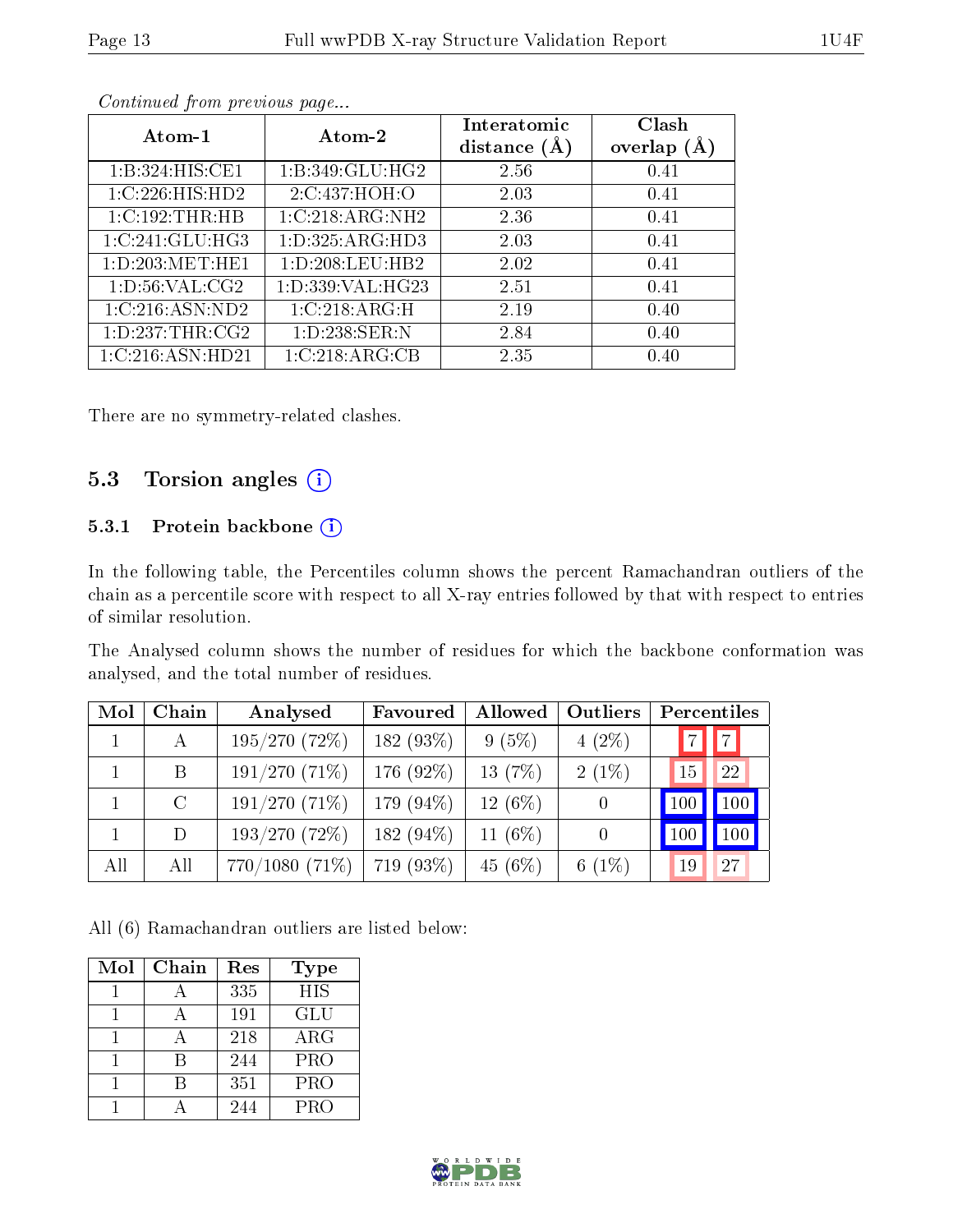| nic                | Clash         |
|--------------------|---------------|
| $\hat{\mathbf{A}}$ | overlap $(A)$ |
|                    |               |

| Continued from previous page |  |  |
|------------------------------|--|--|
|                              |  |  |

| $Atom-1$            | Atom-2              | Interatomic<br>distance $(\AA)$ | Clash<br>overlap $(A)$ |
|---------------------|---------------------|---------------------------------|------------------------|
| 1:B:324:HIS:CE1     | 1:B:349:GLU:HG2     | 2.56                            | 0.41                   |
| 1:C:226:HIS:HD2     | 2:C:437:HOH:O       | 2.03                            | 0.41                   |
| 1:C:192:THR:HB      | 1:C:218:ARG:NH2     | 2.36                            | 0.41                   |
| 1:C:241:GLU:HG3     | 1: D: 325: ARG: HD3 | 2.03                            | 0.41                   |
| 1: D: 203: MET: HE1 | 1: D: 208: LEU: HB2 | 2.02                            | 0.41                   |
| 1: D:56: VAL:CG2    | 1:D:339:VAL:HG23    | 2.51                            | 0.41                   |
| 1:C:216:ASN:ND2     | 1:C:218:ARG:H       | 2.19                            | 0.40                   |
| 1: D: 237: THR: CG2 | 1: D: 238: SER: N   | 2.84                            | 0.40                   |
| 1:C:216:ASN:HD21    | 1:C:218:ARG:CB      | 2.35                            | 0.40                   |

There are no symmetry-related clashes.

### 5.3 Torsion angles (i)

#### 5.3.1 Protein backbone (i)

In the following table, the Percentiles column shows the percent Ramachandran outliers of the chain as a percentile score with respect to all X-ray entries followed by that with respect to entries of similar resolution.

The Analysed column shows the number of residues for which the backbone conformation was analysed, and the total number of residues.

| Mol | Chain   | Analysed         | Favoured     | Allowed   | Outliers         | Percentiles         |
|-----|---------|------------------|--------------|-----------|------------------|---------------------|
|     | А       | $195/270$ (72%)  | 182(93%)     | $9(5\%)$  | $4(2\%)$         | $\boxed{7}$         |
|     | B       | 191/270(71%)     | 176 (92%)    | 13 $(7%)$ | $2(1\%)$         | 22<br>15            |
|     | $\rm C$ | $191/270(71\%)$  | 179 (94\%)   | $12(6\%)$ | $\left( \right)$ | $\sqrt{100}$<br>100 |
|     | D       | 193/270(72%)     | 182 $(94\%)$ | 11 $(6%)$ | $\Omega$         | 100<br>100          |
| All | All     | $770/1080(71\%)$ | 719 (93%)    | 45 $(6%)$ | 6 $(1%)$         | 27<br>19            |

All (6) Ramachandran outliers are listed below:

| Mol | Chain | Res | <b>Type</b> |
|-----|-------|-----|-------------|
|     |       | 335 | <b>HIS</b>  |
|     |       | 191 | GLU         |
|     |       | 218 | ARG         |
|     | В     | 244 | <b>PRO</b>  |
|     |       | 351 | PRO         |
|     |       | 244 | <b>PRO</b>  |

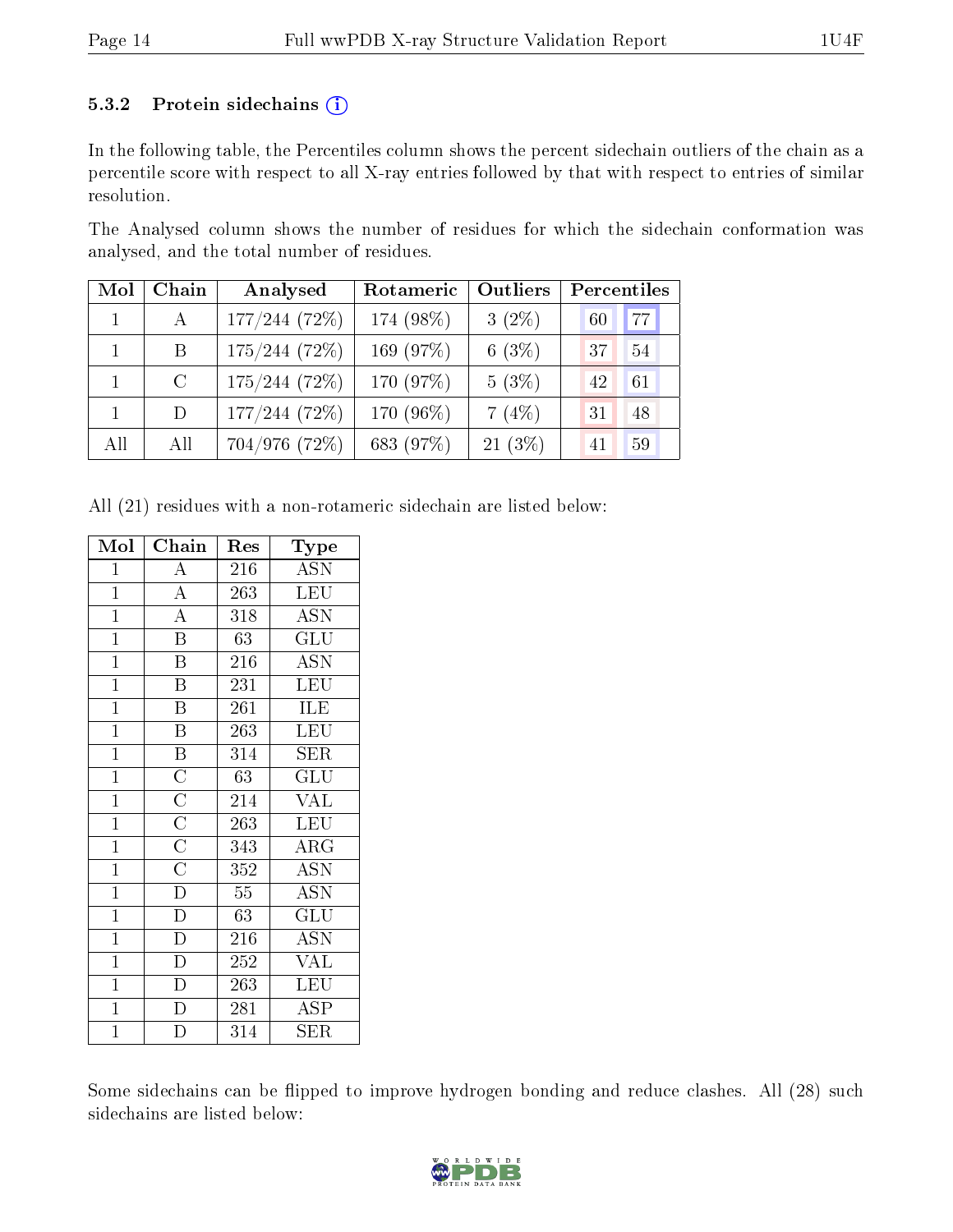#### 5.3.2 Protein sidechains  $(i)$

In the following table, the Percentiles column shows the percent sidechain outliers of the chain as a percentile score with respect to all X-ray entries followed by that with respect to entries of similar resolution.

The Analysed column shows the number of residues for which the sidechain conformation was analysed, and the total number of residues.

| Mol          | Chain         | Outliers<br>Analysed<br>Rotameric |           | Percentiles |    |                 |
|--------------|---------------|-----------------------------------|-----------|-------------|----|-----------------|
| $\mathbf{1}$ | A             | $177/244$ (72%)                   | 174 (98%) | $3(2\%)$    | 60 | 77 <sub>1</sub> |
|              | B             | $175/244$ (72%)                   | 169 (97%) | 6(3%)       | 37 | 54              |
|              | $\mathcal{C}$ | $175/244$ (72\%)                  | 170 (97%) | 5(3%)       | 42 | 61              |
|              | D             | $177/244$ (72%)                   | 170 (96%) | 7(4%)       | 31 | 48              |
| All          | All           | 704/976 (72%)                     | 683 (97%) | $21(3\%)$   | 41 | 59              |

All (21) residues with a non-rotameric sidechain are listed below:

| Mol            | Chain                                                                                                       | $\operatorname{Res}% \left( \mathcal{N}\right) \equiv\operatorname{Res}(\mathcal{N}_{0})\cap\mathcal{N}_{1}$ | Type                      |
|----------------|-------------------------------------------------------------------------------------------------------------|--------------------------------------------------------------------------------------------------------------|---------------------------|
| $\mathbf{1}$   | А                                                                                                           | 216                                                                                                          | <b>ASN</b>                |
| $\mathbf{1}$   | $\overline{\rm A}$                                                                                          | 263                                                                                                          | LEU                       |
| $\mathbf{1}$   | $\overline{A}$                                                                                              | 318                                                                                                          | <b>ASN</b>                |
| $\mathbf{1}$   | $\overline{\text{B}}$                                                                                       | 63                                                                                                           | GLU                       |
| $\overline{1}$ | $\overline{\mathrm{B}}$                                                                                     | 216                                                                                                          | $\overline{\mathrm{ASN}}$ |
| $\mathbf{1}$   | $\overline{\mathrm{B}}$                                                                                     | 231                                                                                                          | <b>LEU</b>                |
| $\mathbf{1}$   | $\overline{\mathrm{B}}$                                                                                     | 261                                                                                                          | <b>ILE</b>                |
| $\mathbf{1}$   | $\overline{\mathrm{B}}$                                                                                     | 263                                                                                                          | LEU                       |
| $\overline{1}$ | $\overline{B}$                                                                                              | 314                                                                                                          | <b>SER</b>                |
| $\mathbf{1}$   | $\frac{\overline{C}}{\overline{C}}$ $\frac{\overline{C}}{\overline{C}}$ $\frac{\overline{C}}{\overline{D}}$ | 63                                                                                                           | $\overline{\text{GLU}}$   |
| $\mathbf{1}$   |                                                                                                             | 214                                                                                                          | <b>VAL</b>                |
| $\mathbf{1}$   |                                                                                                             | 263                                                                                                          | LEU                       |
| $\mathbf{1}$   |                                                                                                             | 343                                                                                                          | $\rm{ARG}$                |
| $\overline{1}$ |                                                                                                             | 352                                                                                                          | $\overline{ASN}$          |
| $\overline{1}$ |                                                                                                             | $\overline{55}$                                                                                              | <b>ASN</b>                |
| $\mathbf{1}$   | $\overline{D}$                                                                                              | 63                                                                                                           | GLU                       |
| $\mathbf{1}$   | $\overline{D}$                                                                                              | 216                                                                                                          | <b>ASN</b>                |
| $\mathbf{1}$   | $\frac{1}{D}$                                                                                               | 252                                                                                                          | <b>VAL</b>                |
| $\overline{1}$ | $\overline{\rm D}$                                                                                          | 263                                                                                                          | LEU                       |
| $\mathbf{1}$   | $\overline{\rm D}$                                                                                          | 281                                                                                                          | ASP                       |
| $\mathbf{1}$   | D                                                                                                           | 314                                                                                                          | $\rm{SER}$                |

Some sidechains can be flipped to improve hydrogen bonding and reduce clashes. All (28) such sidechains are listed below:

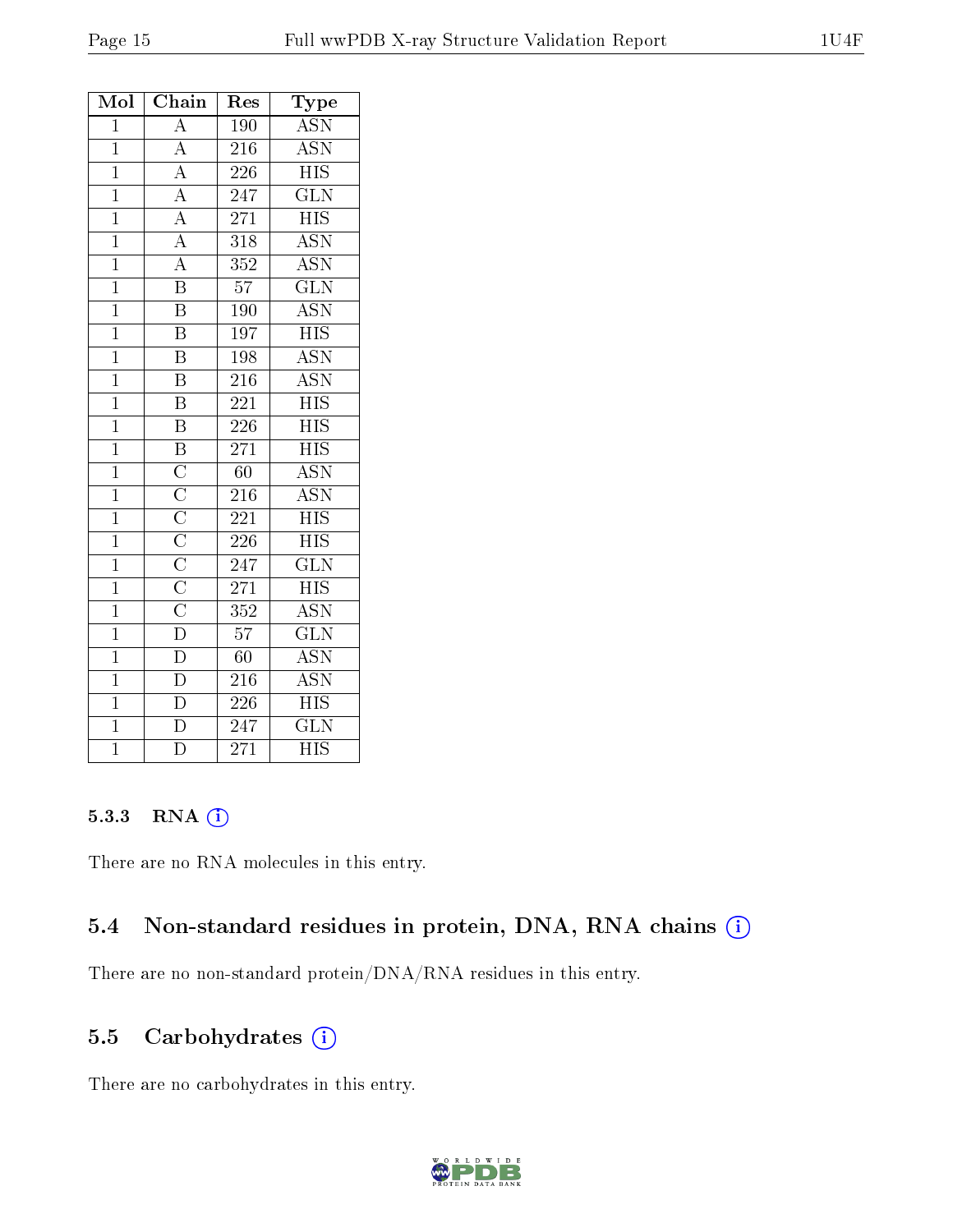| Mol            | Chain                                                                                                                                  | Res              | $\bf Type$                |
|----------------|----------------------------------------------------------------------------------------------------------------------------------------|------------------|---------------------------|
| $\mathbf{1}$   | $\overline{A}$                                                                                                                         | <b>190</b>       | <b>ASN</b>                |
| $\overline{1}$ | $\frac{\overline{A}}{\overline{A}}$ $\frac{\overline{A}}{\overline{A}}$                                                                | 216              | <b>ASN</b>                |
| $\overline{1}$ |                                                                                                                                        | 226              | $\overline{\mathrm{HIS}}$ |
| $\overline{1}$ |                                                                                                                                        | $24\overline{7}$ | $\overline{\text{GLN}}$   |
| $\mathbf{1}$   |                                                                                                                                        | 271              | <b>HIS</b>                |
| $\overline{1}$ |                                                                                                                                        | $\overline{318}$ | $\overline{\text{ASN}}$   |
| $\overline{1}$ | $\overline{A}$                                                                                                                         | 352              | $\overline{\text{ASN}}$   |
| $\overline{1}$ | $\overline{\mathrm{B}}$                                                                                                                | $\overline{57}$  | $\overline{\text{GLN}}$   |
| $\overline{1}$ | $\overline{\mathrm{B}}$                                                                                                                | 190              | <b>ASN</b>                |
| $\mathbf{1}$   | $\overline{\mathrm{B}}$                                                                                                                | 197              | <b>HIS</b>                |
| $\mathbf{1}$   | $\overline{\mathrm{B}}$                                                                                                                | 198              | $\overline{\mathrm{ASN}}$ |
| $\overline{1}$ | $\overline{\mathrm{B}}$                                                                                                                | 216              | <b>ASN</b>                |
| $\overline{1}$ | $\overline{\mathrm{B}}$                                                                                                                | $\overline{221}$ | $\overline{\mathrm{HIS}}$ |
| $\overline{1}$ | $\overline{\mathrm{B}}$                                                                                                                | 226              | $\overline{\mathrm{HIS}}$ |
| $\mathbf{1}$   |                                                                                                                                        | $\overline{271}$ | <b>HIS</b>                |
| $\overline{1}$ |                                                                                                                                        | $60\,$           | <b>ASN</b>                |
| $\overline{1}$ |                                                                                                                                        | 216              | $\overline{\mathrm{ASN}}$ |
| $\overline{1}$ |                                                                                                                                        | $\overline{221}$ | $\overline{\mathrm{HIS}}$ |
| $\overline{1}$ |                                                                                                                                        | 226              | $\overline{\text{HIS}}$   |
| $\mathbf{1}$   |                                                                                                                                        | 247              | $\overline{\text{GLN}}$   |
| $\overline{1}$ |                                                                                                                                        | $\overline{271}$ | $\overline{HIS}$          |
| $\overline{1}$ | $\overline{B}$ $\overline{C}$ $\overline{C}$ $\overline{C}$ $\overline{C}$ $\overline{C}$ $\overline{C}$ $\overline{C}$ $\overline{D}$ | $\overline{352}$ | <b>ASN</b>                |
| $\overline{1}$ |                                                                                                                                        | $\overline{57}$  | $\overline{\text{GLN}}$   |
| $\mathbf{1}$   | $\overline{D}$                                                                                                                         | 60               | $\overline{\text{ASN}}$   |
| $\overline{1}$ | $\overline{D}$                                                                                                                         | 216              | $\overline{\mathrm{ASN}}$ |
| $\overline{1}$ | $\overline{\mathbf{D}}$                                                                                                                | 226              | $\overline{HIS}$          |
| $\overline{1}$ | $\overline{\rm D}$                                                                                                                     | 247              | $\overline{\text{GLN}}$   |
| $\overline{1}$ | $\overline{\rm D}$                                                                                                                     | $\overline{271}$ | $\overline{\mathrm{HIS}}$ |

#### 5.3.3 RNA (1)

There are no RNA molecules in this entry.

#### 5.4 Non-standard residues in protein, DNA, RNA chains (i)

There are no non-standard protein/DNA/RNA residues in this entry.

#### 5.5 Carbohydrates (i)

There are no carbohydrates in this entry.

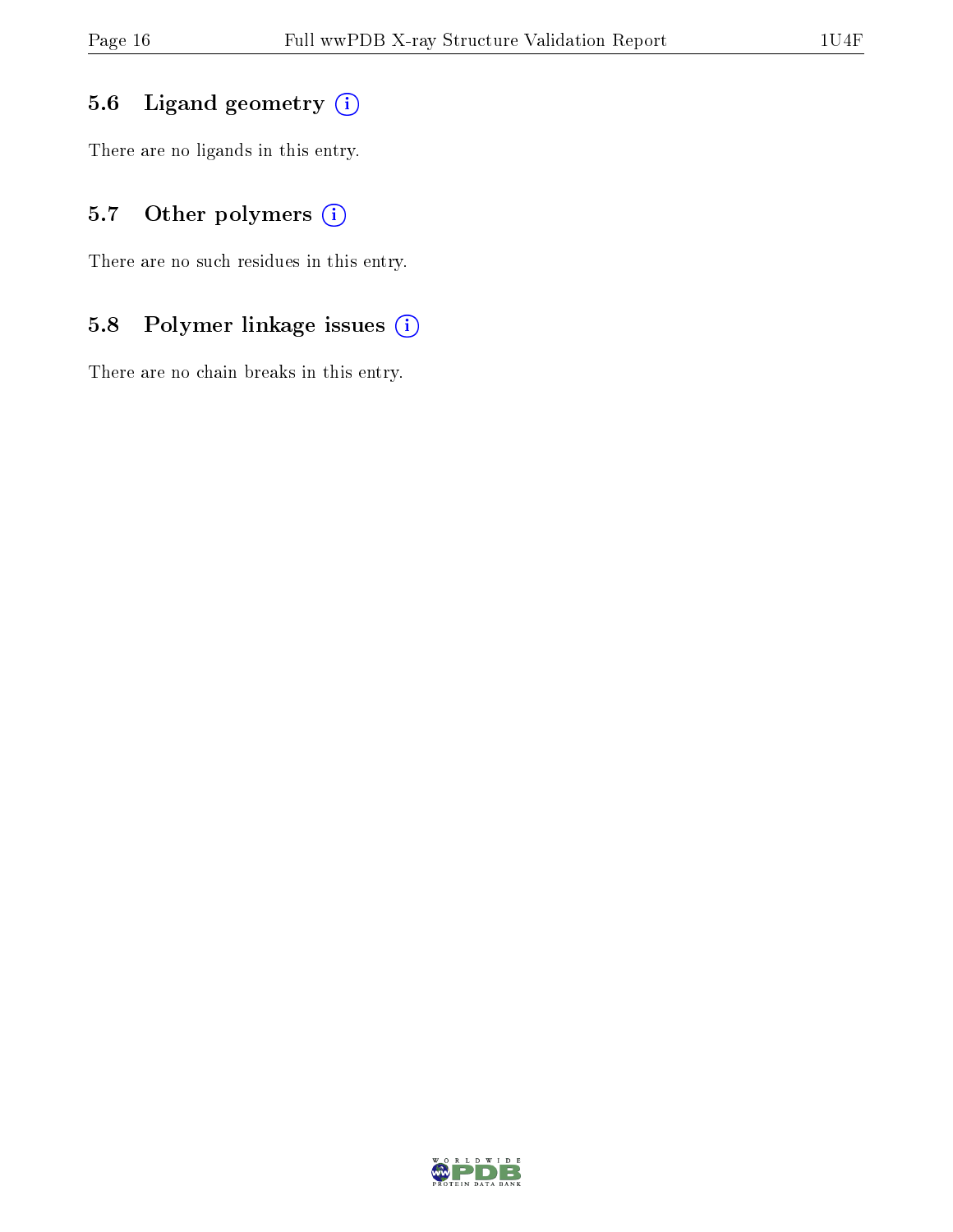### 5.6 Ligand geometry (i)

There are no ligands in this entry.

### 5.7 [O](https://www.wwpdb.org/validation/2017/XrayValidationReportHelp#nonstandard_residues_and_ligands)ther polymers (i)

There are no such residues in this entry.

### 5.8 Polymer linkage issues (i)

There are no chain breaks in this entry.

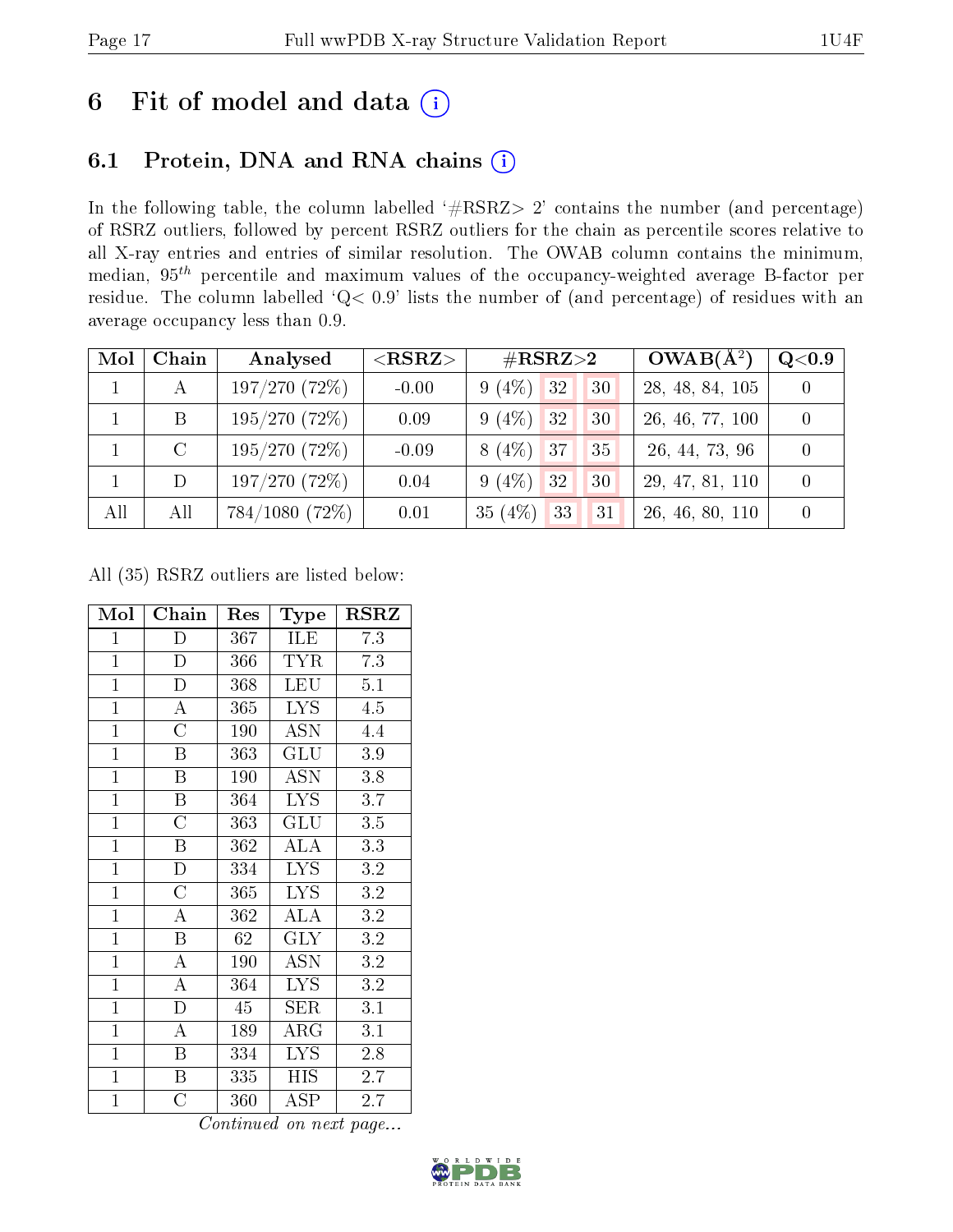# 6 Fit of model and data  $(i)$

## 6.1 Protein, DNA and RNA chains  $(i)$

In the following table, the column labelled  $#RSRZ> 2'$  contains the number (and percentage) of RSRZ outliers, followed by percent RSRZ outliers for the chain as percentile scores relative to all X-ray entries and entries of similar resolution. The OWAB column contains the minimum, median,  $95<sup>th</sup>$  percentile and maximum values of the occupancy-weighted average B-factor per residue. The column labelled ' $Q< 0.9$ ' lists the number of (and percentage) of residues with an average occupancy less than 0.9.

| Mol          | Chain         | Analysed      | ${ <\hspace{-1.5pt}{\mathrm{RSRZ}} \hspace{-1.5pt}>}$ | $\rm \#RSRZ{>}2$       | $OWAB(A^2)$     | Q <sub>0.9</sub> |
|--------------|---------------|---------------|-------------------------------------------------------|------------------------|-----------------|------------------|
| $\mathbf{1}$ | A             | 197/270(72%)  | $-0.00$                                               | $9(4\%)$<br> 32 <br>30 | 28, 48, 84, 105 |                  |
|              | B             | 195/270(72%)  | 0.09                                                  | $9(4\%)$<br> 32 <br>30 | 26, 46, 77, 100 |                  |
|              | $\mathcal{C}$ | 195/270(72%)  | $-0.09$                                               | $8(4\%)$ 37<br>35      | 26, 44, 73, 96  |                  |
|              | D             | 197/270(72%)  | 0.04                                                  | $9(4\%)$ 32<br>30      | 29, 47, 81, 110 |                  |
| All          | All           | 784/1080(72%) | 0.01                                                  | 35(4%)<br>33<br>31     | 26, 46, 80, 110 |                  |

All (35) RSRZ outliers are listed below:

| Mol            | Chain                     | Res | Type                    | $_{\rm RSRZ}$    |
|----------------|---------------------------|-----|-------------------------|------------------|
| $\mathbf{1}$   | D                         | 367 | ILE                     | 7.3              |
| $\mathbf{1}$   | $\overline{D}$            | 366 | <b>TYR</b>              | 7.3              |
| $\mathbf{1}$   | $\mathbf D$               | 368 | <b>LEU</b>              | 5.1              |
| $\mathbf{1}$   | $\boldsymbol{A}$          | 365 | LYS.                    | $4.5\,$          |
| $\overline{1}$ | $\overline{\rm C}$        | 190 | ASN                     | 4.4              |
| $\mathbf{1}$   | $\boldsymbol{B}$          | 363 | GLU                     | $3.9\,$          |
| $\mathbf{1}$   | $\, {\bf B}$              | 190 | ASN                     | 3.8              |
| $\mathbf{1}$   | B                         | 364 | LYS.                    | 3.7              |
| $\overline{1}$ | $\overline{\rm C}$        | 363 | GLU                     | 3.5              |
| $\mathbf{1}$   | $\boldsymbol{\mathrm{B}}$ | 362 | ALA                     | 3.3              |
| $\overline{1}$ | D                         | 334 | LYS.                    | $3.2\,$          |
| $\overline{1}$ | $\overline{\rm C}$        | 365 | <b>LYS</b>              | $3.2\,$          |
| $\overline{1}$ | $\overline{A}$            | 362 | <b>ALA</b>              | 3.2              |
| $\mathbf{1}$   | $\boldsymbol{B}$          | 62  | <b>GLY</b>              | 3.2              |
| $\mathbf{1}$   | $\overline{\rm A}$        | 190 | ASN                     | 3.2              |
| $\overline{1}$ | $\overline{\rm A}$        | 364 | <b>LYS</b>              | 3.2              |
| $\overline{1}$ | $\overline{\text{D}}$     | 45  | $\overline{\text{SER}}$ | $\overline{3.1}$ |
| $\mathbf{1}$   | A                         | 189 | $\rm{ARG}$              | 3.1              |
| $\mathbf{1}$   | B                         | 334 | <b>LYS</b>              | $2.8\,$          |
| $\mathbf{1}$   | B                         | 335 | <b>HIS</b>              | 2.7              |
| $\mathbf{1}$   | $\overline{C}$            | 360 | ASP                     | 2.7              |